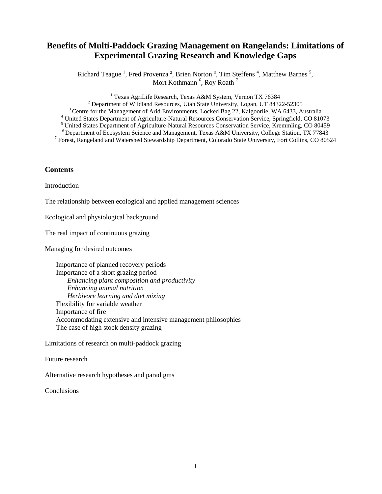# **Benefits of Multi-Paddock Grazing Management on Rangelands: Limitations of Experimental Grazing Research and Knowledge Gaps**

Richard Teague<sup>1</sup>, Fred Provenza<sup>2</sup>, Brien Norton<sup>3</sup>, Tim Steffens<sup>4</sup>, Matthew Barnes<sup>5</sup>, Mort Kothmann <sup>6</sup>, Roy Roath <sup>7</sup>

<sup>1</sup> Texas AgriLife Research, Texas A&M System, Vernon TX 76384<br><sup>2</sup> Department of Wildland Resources, Utah State University, Logan, UT 84322-52305<br><sup>3</sup> Centre for the Management of Arid Environments, Locked Bag 22, Kalgoorl

# **Contents**

Introduction

The relationship between ecological and applied management sciences

Ecological and physiological background

The real impact of continuous grazing

Managing for desired outcomes

Importance of planned recovery periods Importance of a short grazing period *Enhancing plant composition and productivity Enhancing animal nutrition Herbivore learning and diet mixing*  Flexibility for variable weather Importance of fire Accommodating extensive and intensive management philosophies The case of high stock density grazing

Limitations of research on multi-paddock grazing

Future research

Alternative research hypotheses and paradigms

Conclusions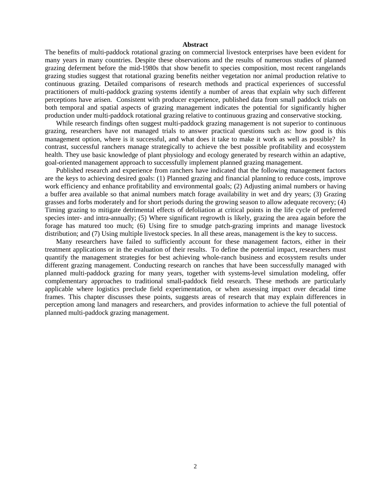### **Abstract**

The benefits of multi-paddock rotational grazing on commercial livestock enterprises have been evident for many years in many countries. Despite these observations and the results of numerous studies of planned grazing deferment before the mid-1980s that show benefit to species composition, most recent rangelands grazing studies suggest that rotational grazing benefits neither vegetation nor animal production relative to continuous grazing. Detailed comparisons of research methods and practical experiences of successful practitioners of multi-paddock grazing systems identify a number of areas that explain why such different perceptions have arisen. Consistent with producer experience, published data from small paddock trials on both temporal and spatial aspects of grazing management indicates the potential for significantly higher production under multi-paddock rotational grazing relative to continuous grazing and conservative stocking.

While research findings often suggest multi-paddock grazing management is not superior to continuous grazing, researchers have not managed trials to answer practical questions such as: how good is this management option, where is it successful, and what does it take to make it work as well as possible? In contrast, successful ranchers manage strategically to achieve the best possible profitability and ecosystem health. They use basic knowledge of plant physiology and ecology generated by research within an adaptive, goal-oriented management approach to successfully implement planned grazing management.

Published research and experience from ranchers have indicated that the following management factors are the keys to achieving desired goals: (1) Planned grazing and financial planning to reduce costs, improve work efficiency and enhance profitability and environmental goals; (2) Adjusting animal numbers or having a buffer area available so that animal numbers match forage availability in wet and dry years; (3) Grazing grasses and forbs moderately and for short periods during the growing season to allow adequate recovery; (4) Timing grazing to mitigate detrimental effects of defoliation at critical points in the life cycle of preferred species inter- and intra-annually; (5) Where significant regrowth is likely, grazing the area again before the forage has matured too much; (6) Using fire to smudge patch-grazing imprints and manage livestock distribution; and (7) Using multiple livestock species. In all these areas, management is the key to success.

Many researchers have failed to sufficiently account for these management factors, either in their treatment applications or in the evaluation of their results. To define the potential impact, researchers must quantify the management strategies for best achieving whole-ranch business and ecosystem results under different grazing management. Conducting research on ranches that have been successfully managed with planned multi-paddock grazing for many years, together with systems-level simulation modeling, offer complementary approaches to traditional small-paddock field research. These methods are particularly applicable where logistics preclude field experimentation, or when assessing impact over decadal time frames. This chapter discusses these points, suggests areas of research that may explain differences in perception among land managers and researchers, and provides information to achieve the full potential of planned multi-paddock grazing management.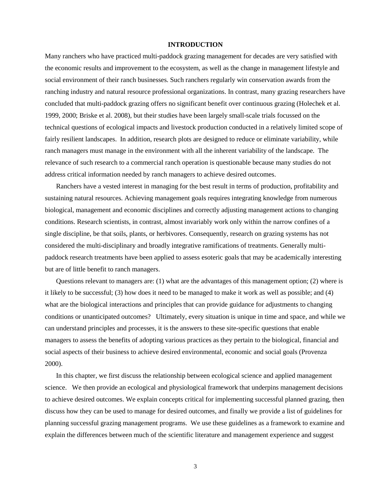# **INTRODUCTION**

Many ranchers who have practiced multi-paddock grazing management for decades are very satisfied with the economic results and improvement to the ecosystem, as well as the change in management lifestyle and social environment of their ranch businesses. Such ranchers regularly win conservation awards from the ranching industry and natural resource professional organizations. In contrast, many grazing researchers have concluded that multi-paddock grazing offers no significant benefit over continuous grazing (Holechek et al. 1999, 2000; Briske et al. 2008), but their studies have been largely small-scale trials focussed on the technical questions of ecological impacts and livestock production conducted in a relatively limited scope of fairly resilient landscapes. In addition, research plots are designed to reduce or eliminate variability, while ranch managers must manage in the environment with all the inherent variability of the landscape. The relevance of such research to a commercial ranch operation is questionable because many studies do not address critical information needed by ranch managers to achieve desired outcomes.

Ranchers have a vested interest in managing for the best result in terms of production, profitability and sustaining natural resources. Achieving management goals requires integrating knowledge from numerous biological, management and economic disciplines and correctly adjusting management actions to changing conditions. Research scientists, in contrast, almost invariably work only within the narrow confines of a single discipline, be that soils, plants, or herbivores. Consequently, research on grazing systems has not considered the multi-disciplinary and broadly integrative ramifications of treatments. Generally multipaddock research treatments have been applied to assess esoteric goals that may be academically interesting but are of little benefit to ranch managers.

Questions relevant to managers are: (1) what are the advantages of this management option; (2) where is it likely to be successful; (3) how does it need to be managed to make it work as well as possible; and (4) what are the biological interactions and principles that can provide guidance for adjustments to changing conditions or unanticipated outcomes? Ultimately, every situation is unique in time and space, and while we can understand principles and processes, it is the answers to these site-specific questions that enable managers to assess the benefits of adopting various practices as they pertain to the biological, financial and social aspects of their business to achieve desired environmental, economic and social goals (Provenza 2000).

In this chapter, we first discuss the relationship between ecological science and applied management science. We then provide an ecological and physiological framework that underpins management decisions to achieve desired outcomes. We explain concepts critical for implementing successful planned grazing, then discuss how they can be used to manage for desired outcomes, and finally we provide a list of guidelines for planning successful grazing management programs. We use these guidelines as a framework to examine and explain the differences between much of the scientific literature and management experience and suggest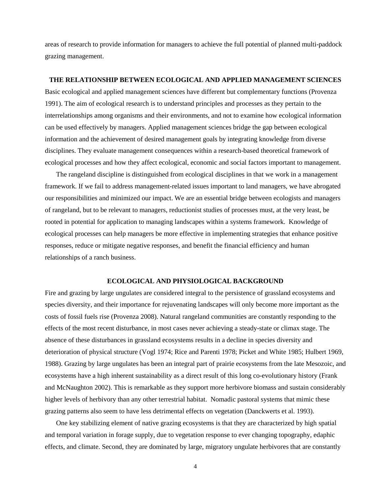areas of research to provide information for managers to achieve the full potential of planned multi-paddock grazing management.

# **THE RELATIONSHIP BETWEEN ECOLOGICAL AND APPLIED MANAGEMENT SCIENCES**

Basic ecological and applied management sciences have different but complementary functions (Provenza 1991). The aim of ecological research is to understand principles and processes as they pertain to the interrelationships among organisms and their environments, and not to examine how ecological information can be used effectively by managers. Applied management sciences bridge the gap between ecological information and the achievement of desired management goals by integrating knowledge from diverse disciplines. They evaluate management consequences within a research-based theoretical framework of ecological processes and how they affect ecological, economic and social factors important to management.

The rangeland discipline is distinguished from ecological disciplines in that we work in a management framework. If we fail to address management-related issues important to land managers, we have abrogated our responsibilities and minimized our impact. We are an essential bridge between ecologists and managers of rangeland, but to be relevant to managers, reductionist studies of processes must, at the very least, be rooted in potential for application to managing landscapes within a systems framework. Knowledge of ecological processes can help managers be more effective in implementing strategies that enhance positive responses, reduce or mitigate negative responses, and benefit the financial efficiency and human relationships of a ranch business.

# **ECOLOGICAL AND PHYSIOLOGICAL BACKGROUND**

Fire and grazing by large ungulates are considered integral to the persistence of grassland ecosystems and species diversity, and their importance for rejuvenating landscapes will only become more important as the costs of fossil fuels rise (Provenza 2008). Natural rangeland communities are constantly responding to the effects of the most recent disturbance, in most cases never achieving a steady-state or climax stage. The absence of these disturbances in grassland ecosystems results in a decline in species diversity and deterioration of physical structure (Vogl 1974; Rice and Parenti 1978; Picket and White 1985; Hulbert 1969, 1988). Grazing by large ungulates has been an integral part of prairie ecosystems from the late Mesozoic, and ecosystems have a high inherent sustainability as a direct result of this long co-evolutionary history (Frank and McNaughton 2002). This is remarkable as they support more herbivore biomass and sustain considerably higher levels of herbivory than any other terrestrial habitat. Nomadic pastoral systems that mimic these grazing patterns also seem to have less detrimental effects on vegetation (Danckwerts et al. 1993).

One key stabilizing element of native grazing ecosystems is that they are characterized by high spatial and temporal variation in forage supply, due to vegetation response to ever changing topography, edaphic effects, and climate. Second, they are dominated by large, migratory ungulate herbivores that are constantly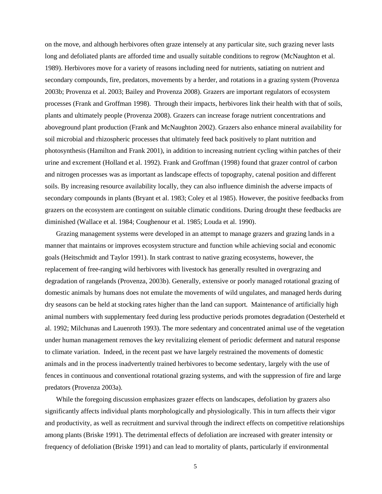on the move, and although herbivores often graze intensely at any particular site, such grazing never lasts long and defoliated plants are afforded time and usually suitable conditions to regrow (McNaughton et al. 1989). Herbivores move for a variety of reasons including need for nutrients, satiating on nutrient and secondary compounds, fire, predators, movements by a herder, and rotations in a grazing system (Provenza 2003b; Provenza et al. 2003; Bailey and Provenza 2008). Grazers are important regulators of ecosystem processes (Frank and Groffman 1998). Through their impacts, herbivores link their health with that of soils, plants and ultimately people (Provenza 2008). Grazers can increase forage nutrient concentrations and aboveground plant production (Frank and McNaughton 2002). Grazers also enhance mineral availability for soil microbial and rhizospheric processes that ultimately feed back positively to plant nutrition and photosynthesis (Hamilton and Frank 2001), in addition to increasing nutrient cycling within patches of their urine and excrement (Holland et al. 1992). Frank and Groffman (1998) found that grazer control of carbon and nitrogen processes was as important as landscape effects of topography, catenal position and different soils. By increasing resource availability locally, they can also influence diminish the adverse impacts of secondary compounds in plants (Bryant et al. 1983; Coley et al 1985). However, the positive feedbacks from grazers on the ecosystem are contingent on suitable climatic conditions. During drought these feedbacks are diminished (Wallace et al. 1984; Coughenour et al. 1985; Louda et al. 1990).

Grazing management systems were developed in an attempt to manage grazers and grazing lands in a manner that maintains or improves ecosystem structure and function while achieving social and economic goals (Heitschmidt and Taylor 1991). In stark contrast to native grazing ecosystems, however, the replacement of free-ranging wild herbivores with livestock has generally resulted in overgrazing and degradation of rangelands (Provenza, 2003b). Generally, extensive or poorly managed rotational grazing of domestic animals by humans does not emulate the movements of wild ungulates, and managed herds during dry seasons can be held at stocking rates higher than the land can support. Maintenance of artificially high animal numbers with supplementary feed during less productive periods promotes degradation (Oesterheld et al. 1992; Milchunas and Lauenroth 1993). The more sedentary and concentrated animal use of the vegetation under human management removes the key revitalizing element of periodic deferment and natural response to climate variation. Indeed, in the recent past we have largely restrained the movements of domestic animals and in the process inadvertently trained herbivores to become sedentary, largely with the use of fences in continuous and conventional rotational grazing systems, and with the suppression of fire and large predators (Provenza 2003a).

While the foregoing discussion emphasizes grazer effects on landscapes, defoliation by grazers also significantly affects individual plants morphologically and physiologically. This in turn affects their vigor and productivity, as well as recruitment and survival through the indirect effects on competitive relationships among plants (Briske 1991). The detrimental effects of defoliation are increased with greater intensity or frequency of defoliation (Briske 1991) and can lead to mortality of plants, particularly if environmental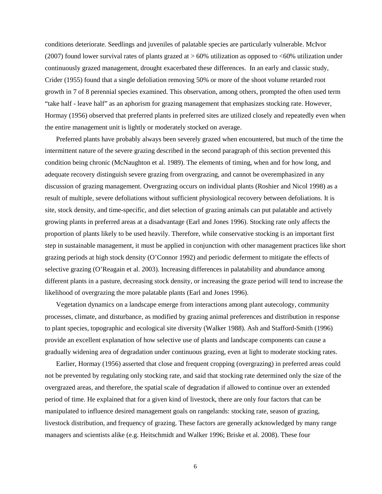conditions deteriorate*.* Seedlings and juveniles of palatable species are particularly vulnerable. McIvor (2007) found lower survival rates of plants grazed at  $> 60\%$  utilization as opposed to  $< 60\%$  utilization under continuously grazed management, drought exacerbated these differences. In an early and classic study, Crider (1955) found that a single defoliation removing 50% or more of the shoot volume retarded root growth in 7 of 8 perennial species examined. This observation, among others, prompted the often used term "take half - leave half" as an aphorism for grazing management that emphasizes stocking rate. However, Hormay (1956) observed that preferred plants in preferred sites are utilized closely and repeatedly even when the entire management unit is lightly or moderately stocked on average.

Preferred plants have probably always been severely grazed when encountered, but much of the time the intermittent nature of the severe grazing described in the second paragraph of this section prevented this condition being chronic (McNaughton et al. 1989). The elements of timing, when and for how long, and adequate recovery distinguish severe grazing from overgrazing, and cannot be overemphasized in any discussion of grazing management. Overgrazing occurs on individual plants (Roshier and Nicol 1998) as a result of multiple, severe defoliations without sufficient physiological recovery between defoliations. It is site, stock density, and time-specific, and diet selection of grazing animals can put palatable and actively growing plants in preferred areas at a disadvantage (Earl and Jones 1996). Stocking rate only affects the proportion of plants likely to be used heavily. Therefore, while conservative stocking is an important first step in sustainable management, it must be applied in conjunction with other management practices like short grazing periods at high stock density (O'Connor 1992) and periodic deferment to mitigate the effects of selective grazing (O'Reagain et al. 2003). Increasing differences in palatability and abundance among different plants in a pasture, decreasing stock density, or increasing the graze period will tend to increase the likelihood of overgrazing the more palatable plants (Earl and Jones 1996).

Vegetation dynamics on a landscape emerge from interactions among plant autecology, community processes, climate, and disturbance, as modified by grazing animal preferences and distribution in response to plant species, topographic and ecological site diversity (Walker 1988). Ash and Stafford-Smith (1996) provide an excellent explanation of how selective use of plants and landscape components can cause a gradually widening area of degradation under continuous grazing, even at light to moderate stocking rates.

Earlier, Hormay (1956) asserted that close and frequent cropping (overgrazing) in preferred areas could not be prevented by regulating only stocking rate, and said that stocking rate determined only the size of the overgrazed areas, and therefore, the spatial scale of degradation if allowed to continue over an extended period of time. He explained that for a given kind of livestock, there are only four factors that can be manipulated to influence desired management goals on rangelands: stocking rate, season of grazing, livestock distribution, and frequency of grazing. These factors are generally acknowledged by many range managers and scientists alike (e.g. Heitschmidt and Walker 1996; Briske et al. 2008). These four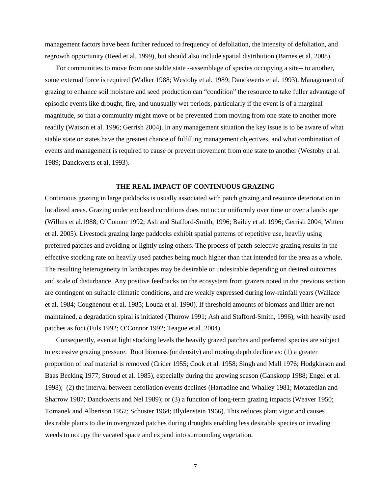management factors have been further reduced to frequency of defoliation, the intensity of defoliation, and regrowth opportunity (Reed et al. 1999), but should also include spatial distribution (Barnes et al. 2008).

For communities to move from one stable state --assemblage of species occupying a site-- to another, some external force is required (Walker 1988; Westoby et al. 1989; Danckwerts et al. 1993). Management of grazing to enhance soil moisture and seed production can "condition" the resource to take fuller advantage of episodic events like drought, fire, and unusually wet periods, particularly if the event is of a marginal magnitude, so that a community might move or be prevented from moving from one state to another more readily (Watson et al. 1996; Gerrish 2004). In any management situation the key issue is to be aware of what stable state or states have the greatest chance of fulfilling management objectives, and what combination of events and management is required to cause or prevent movement from one state to another (Westoby et al. 1989; Danckwerts et al. 1993).

#### **THE REAL IMPACT OF CONTINUOUS GRAZING**

Continuous grazing in large paddocks is usually associated with patch grazing and resource deterioration in localized areas. Grazing under enclosed conditions does not occur uniformly over time or over a landscape (Willms et al.1988; O'Connor 1992; Ash and Stafford-Smith, 1996; Bailey et al. 1996; Gerrish 2004; Witten et al. 2005). Livestock grazing large paddocks exhibit spatial patterns of repetitive use, heavily using preferred patches and avoiding or lightly using others. The process of patch-selective grazing results in the effective stocking rate on heavily used patches being much higher than that intended for the area as a whole. The resulting heterogeneity in landscapes may be desirable or undesirable depending on desired outcomes and scale of disturbance. Any positive feedbacks on the ecosystem from grazers noted in the previous section are contingent on suitable climatic conditions, and are weakly expressed during low-rainfall years (Wallace et al. 1984; Coughenour et al. 1985; Louda et al. 1990)*.* If threshold amounts of biomass and litter are not maintained, a degradation spiral is initiated (Thurow 1991; Ash and Stafford-Smith, 1996), with heavily used patches as foci (Fuls 1992; O'Connor 1992; Teague et al. 2004).

Consequently, even at light stocking levels the heavily grazed patches and preferred species are subject to excessive grazing pressure. Root biomass (or density) and rooting depth decline as: (1) a greater proportion of leaf material is removed (Crider 1955; Cook et al*.* 1958; Singh and Mall 1976; Hodgkinson and Baas Becking 1977; Stroud et al*.* 1985), especially during the growing season (Ganskopp 1988; Engel et al*.*  1998); (2) the interval between defoliation events declines (Harradine and Whalley 1981; Motazedian and Sharrow 1987; Danckwerts and Nel 1989); or (3) a function of long-term grazing impacts (Weaver 1950; Tomanek and Albertson 1957; Schuster 1964; Blydenstein 1966). This reduces plant vigor and causes desirable plants to die in overgrazed patches during droughts enabling less desirable species or invading weeds to occupy the vacated space and expand into surrounding vegetation.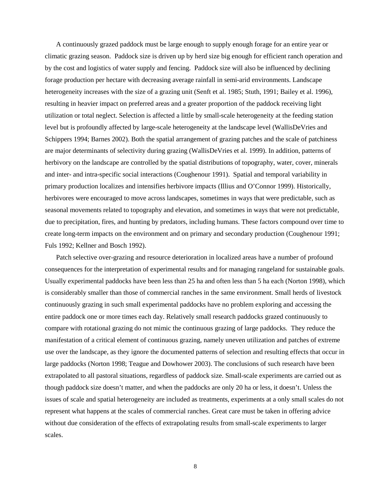A continuously grazed paddock must be large enough to supply enough forage for an entire year or climatic grazing season. Paddock size is driven up by herd size big enough for efficient ranch operation and by the cost and logistics of water supply and fencing. Paddock size will also be influenced by declining forage production per hectare with decreasing average rainfall in semi-arid environments. Landscape heterogeneity increases with the size of a grazing unit (Senft et al. 1985; Stuth, 1991; Bailey et al. 1996), resulting in heavier impact on preferred areas and a greater proportion of the paddock receiving light utilization or total neglect. Selection is affected a little by small-scale heterogeneity at the feeding station level but is profoundly affected by large-scale heterogeneity at the landscape level (WallisDeVries and Schippers 1994; Barnes 2002). Both the spatial arrangement of grazing patches and the scale of patchiness are major determinants of selectivity during grazing (WallisDeVries et al. 1999). In addition, patterns of herbivory on the landscape are controlled by the spatial distributions of topography, water, cover, minerals and inter- and intra-specific social interactions (Coughenour 1991). Spatial and temporal variability in primary production localizes and intensifies herbivore impacts (Illius and O'Connor 1999). Historically, herbivores were encouraged to move across landscapes, sometimes in ways that were predictable, such as seasonal movements related to topography and elevation, and sometimes in ways that were not predictable, due to precipitation, fires, and hunting by predators, including humans. These factors compound over time to create long-term impacts on the environment and on primary and secondary production (Coughenour 1991; Fuls 1992; Kellner and Bosch 1992).

Patch selective over-grazing and resource deterioration in localized areas have a number of profound consequences for the interpretation of experimental results and for managing rangeland for sustainable goals. Usually experimental paddocks have been less than 25 ha and often less than 5 ha each (Norton 1998), which is considerably smaller than those of commercial ranches in the same environment. Small herds of livestock continuously grazing in such small experimental paddocks have no problem exploring and accessing the entire paddock one or more times each day. Relatively small research paddocks grazed continuously to compare with rotational grazing do not mimic the continuous grazing of large paddocks. They reduce the manifestation of a critical element of continuous grazing, namely uneven utilization and patches of extreme use over the landscape, as they ignore the documented patterns of selection and resulting effects that occur in large paddocks (Norton 1998; Teague and Dowhower 2003). The conclusions of such research have been extrapolated to all pastoral situations, regardless of paddock size. Small-scale experiments are carried out as though paddock size doesn't matter, and when the paddocks are only 20 ha or less, it doesn't. Unless the issues of scale and spatial heterogeneity are included as treatments, experiments at a only small scales do not represent what happens at the scales of commercial ranches. Great care must be taken in offering advice without due consideration of the effects of extrapolating results from small-scale experiments to larger scales.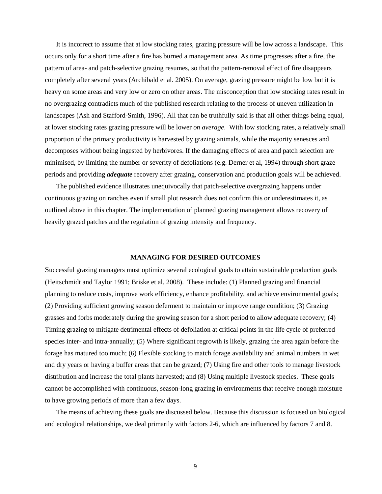It is incorrect to assume that at low stocking rates, grazing pressure will be low across a landscape. This occurs only for a short time after a fire has burned a management area. As time progresses after a fire, the pattern of area- and patch-selective grazing resumes, so that the pattern-removal effect of fire disappears completely after several years (Archibald et al. 2005). On average, grazing pressure might be low but it is heavy on some areas and very low or zero on other areas. The misconception that low stocking rates result in no overgrazing contradicts much of the published research relating to the process of uneven utilization in landscapes (Ash and Stafford-Smith, 1996). All that can be truthfully said is that all other things being equal, at lower stocking rates grazing pressure will be lower *on average*. With low stocking rates, a relatively small proportion of the primary productivity is harvested by grazing animals, while the majority senesces and decomposes without being ingested by herbivores. If the damaging effects of area and patch selection are minimised, by limiting the number or severity of defoliations (e.g. Derner et al, 1994) through short graze periods and providing *adequate* recovery after grazing, conservation and production goals will be achieved.

The published evidence illustrates unequivocally that patch-selective overgrazing happens under continuous grazing on ranches even if small plot research does not confirm this or underestimates it, as outlined above in this chapter. The implementation of planned grazing management allows recovery of heavily grazed patches and the regulation of grazing intensity and frequency.

# **MANAGING FOR DESIRED OUTCOMES**

Successful grazing managers must optimize several ecological goals to attain sustainable production goals (Heitschmidt and Taylor 1991; Briske et al. 2008). These include: (1) Planned grazing and financial planning to reduce costs, improve work efficiency, enhance profitability, and achieve environmental goals; (2) Providing sufficient growing season deferment to maintain or improve range condition; (3) Grazing grasses and forbs moderately during the growing season for a short period to allow adequate recovery; (4) Timing grazing to mitigate detrimental effects of defoliation at critical points in the life cycle of preferred species inter- and intra-annually; (5) Where significant regrowth is likely, grazing the area again before the forage has matured too much; (6) Flexible stocking to match forage availability and animal numbers in wet and dry years or having a buffer areas that can be grazed; (7) Using fire and other tools to manage livestock distribution and increase the total plants harvested; and (8) Using multiple livestock species. These goals cannot be accomplished with continuous, season-long grazing in environments that receive enough moisture to have growing periods of more than a few days.

The means of achieving these goals are discussed below. Because this discussion is focused on biological and ecological relationships, we deal primarily with factors 2-6, which are influenced by factors 7 and 8.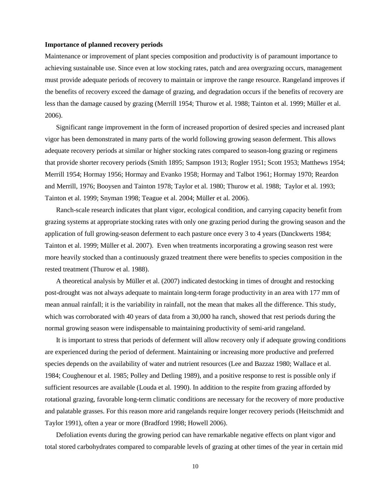### **Importance of planned recovery periods**

Maintenance or improvement of plant species composition and productivity is of paramount importance to achieving sustainable use. Since even at low stocking rates, patch and area overgrazing occurs, management must provide adequate periods of recovery to maintain or improve the range resource. Rangeland improves if the benefits of recovery exceed the damage of grazing, and degradation occurs if the benefits of recovery are less than the damage caused by grazing (Merrill 1954; Thurow et al. 1988; Tainton et al. 1999; Müller et al. 2006).

Significant range improvement in the form of increased proportion of desired species and increased plant vigor has been demonstrated in many parts of the world following growing season deferment. This allows adequate recovery periods at similar or higher stocking rates compared to season-long grazing or regimens that provide shorter recovery periods (Smith 1895; Sampson 1913; Rogler 1951; Scott 1953; Matthews 1954; Merrill 1954; Hormay 1956; Hormay and Evanko 1958; Hormay and Talbot 1961; Hormay 1970; Reardon and Merrill, 1976; Booysen and Tainton 1978; Taylor et al. 1980; Thurow et al. 1988; Taylor et al. 1993; Tainton et al. 1999; Snyman 1998; Teague et al. 2004; Müller et al. 2006).

Ranch-scale research indicates that plant vigor, ecological condition, and carrying capacity benefit from grazing systems at appropriate stocking rates with only one grazing period during the growing season and the application of full growing-season deferment to each pasture once every 3 to 4 years (Danckwerts 1984; Tainton et al. 1999; Müller et al. 2007). Even when treatments incorporating a growing season rest were more heavily stocked than a continuously grazed treatment there were benefits to species composition in the rested treatment (Thurow et al. 1988).

A theoretical analysis by Müller et al. (2007) indicated destocking in times of drought and restocking post-drought was not always adequate to maintain long-term forage productivity in an area with 177 mm of mean annual rainfall; it is the variability in rainfall, not the mean that makes all the difference. This study, which was corroborated with 40 years of data from a 30,000 ha ranch, showed that rest periods during the normal growing season were indispensable to maintaining productivity of semi-arid rangeland.

It is important to stress that periods of deferment will allow recovery only if adequate growing conditions are experienced during the period of deferment. Maintaining or increasing more productive and preferred species depends on the availability of water and nutrient resources (Lee and Bazzaz 1980; Wallace et al. 1984; Coughenour et al. 1985; Polley and Detling 1989), and a positive response to rest is possible only if sufficient resources are available (Louda et al. 1990). In addition to the respite from grazing afforded by rotational grazing, favorable long-term climatic conditions are necessary for the recovery of more productive and palatable grasses. For this reason more arid rangelands require longer recovery periods (Heitschmidt and Taylor 1991), often a year or more (Bradford 1998; Howell 2006).

Defoliation events during the growing period can have remarkable negative effects on plant vigor and total stored carbohydrates compared to comparable levels of grazing at other times of the year in certain mid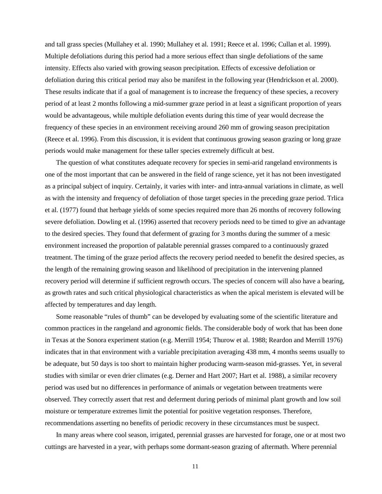and tall grass species (Mullahey et al. 1990; Mullahey et al. 1991; Reece et al. 1996; Cullan et al. 1999). Multiple defoliations during this period had a more serious effect than single defoliations of the same intensity. Effects also varied with growing season precipitation. Effects of excessive defoliation or defoliation during this critical period may also be manifest in the following year (Hendrickson et al. 2000). These results indicate that if a goal of management is to increase the frequency of these species, a recovery period of at least 2 months following a mid-summer graze period in at least a significant proportion of years would be advantageous, while multiple defoliation events during this time of year would decrease the frequency of these species in an environment receiving around 260 mm of growing season precipitation (Reece et al. 1996). From this discussion, it is evident that continuous growing season grazing or long graze periods would make management for these taller species extremely difficult at best.

The question of what constitutes adequate recovery for species in semi-arid rangeland environments is one of the most important that can be answered in the field of range science, yet it has not been investigated as a principal subject of inquiry. Certainly, it varies with inter- and intra-annual variations in climate, as well as with the intensity and frequency of defoliation of those target species in the preceding graze period. Trlica et al. (1977) found that herbage yields of some species required more than 26 months of recovery following severe defoliation. Dowling et al. (1996) asserted that recovery periods need to be timed to give an advantage to the desired species. They found that deferment of grazing for 3 months during the summer of a mesic environment increased the proportion of palatable perennial grasses compared to a continuously grazed treatment. The timing of the graze period affects the recovery period needed to benefit the desired species, as the length of the remaining growing season and likelihood of precipitation in the intervening planned recovery period will determine if sufficient regrowth occurs. The species of concern will also have a bearing, as growth rates and such critical physiological characteristics as when the apical meristem is elevated will be affected by temperatures and day length.

Some reasonable "rules of thumb" can be developed by evaluating some of the scientific literature and common practices in the rangeland and agronomic fields. The considerable body of work that has been done in Texas at the Sonora experiment station (e.g. Merrill 1954; Thurow et al. 1988; Reardon and Merrill 1976) indicates that in that environment with a variable precipitation averaging 438 mm, 4 months seems usually to be adequate, but 50 days is too short to maintain higher producing warm-season mid-grasses. Yet, in several studies with similar or even drier climates (e.g. Derner and Hart 2007; Hart et al. 1988), a similar recovery period was used but no differences in performance of animals or vegetation between treatments were observed. They correctly assert that rest and deferment during periods of minimal plant growth and low soil moisture or temperature extremes limit the potential for positive vegetation responses. Therefore, recommendations asserting no benefits of periodic recovery in these circumstances must be suspect.

In many areas where cool season, irrigated, perennial grasses are harvested for forage, one or at most two cuttings are harvested in a year, with perhaps some dormant-season grazing of aftermath. Where perennial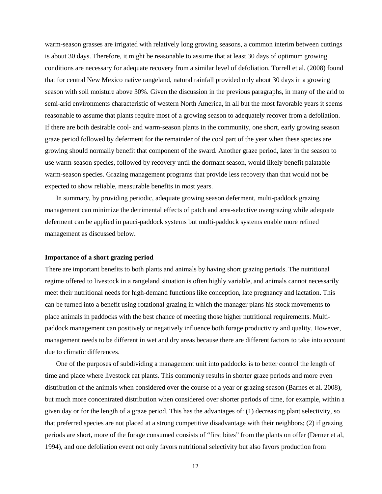warm-season grasses are irrigated with relatively long growing seasons, a common interim between cuttings is about 30 days. Therefore, it might be reasonable to assume that at least 30 days of optimum growing conditions are necessary for adequate recovery from a similar level of defoliation. Torrell et al. (2008) found that for central New Mexico native rangeland, natural rainfall provided only about 30 days in a growing season with soil moisture above 30%. Given the discussion in the previous paragraphs, in many of the arid to semi-arid environments characteristic of western North America, in all but the most favorable years it seems reasonable to assume that plants require most of a growing season to adequately recover from a defoliation. If there are both desirable cool- and warm-season plants in the community, one short, early growing season graze period followed by deferment for the remainder of the cool part of the year when these species are growing should normally benefit that component of the sward. Another graze period, later in the season to use warm-season species, followed by recovery until the dormant season, would likely benefit palatable warm-season species. Grazing management programs that provide less recovery than that would not be expected to show reliable, measurable benefits in most years.

In summary, by providing periodic, adequate growing season deferment, multi-paddock grazing management can minimize the detrimental effects of patch and area-selective overgrazing while adequate deferment can be applied in pauci-paddock systems but multi-paddock systems enable more refined management as discussed below.

### **Importance of a short grazing period**

There are important benefits to both plants and animals by having short grazing periods. The nutritional regime offered to livestock in a rangeland situation is often highly variable, and animals cannot necessarily meet their nutritional needs for high-demand functions like conception, late pregnancy and lactation. This can be turned into a benefit using rotational grazing in which the manager plans his stock movements to place animals in paddocks with the best chance of meeting those higher nutritional requirements. Multipaddock management can positively or negatively influence both forage productivity and quality. However, management needs to be different in wet and dry areas because there are different factors to take into account due to climatic differences.

One of the purposes of subdividing a management unit into paddocks is to better control the length of time and place where livestock eat plants. This commonly results in shorter graze periods and more even distribution of the animals when considered over the course of a year or grazing season (Barnes et al. 2008), but much more concentrated distribution when considered over shorter periods of time, for example, within a given day or for the length of a graze period. This has the advantages of: (1) decreasing plant selectivity, so that preferred species are not placed at a strong competitive disadvantage with their neighbors; (2) if grazing periods are short, more of the forage consumed consists of "first bites" from the plants on offer (Derner et al, 1994), and one defoliation event not only favors nutritional selectivity but also favors production from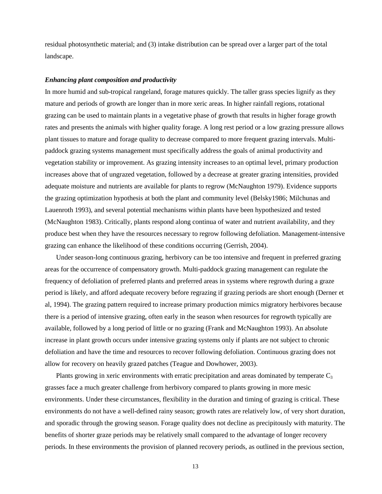residual photosynthetic material; and (3) intake distribution can be spread over a larger part of the total landscape.

#### *Enhancing plant composition and productivity*

In more humid and sub-tropical rangeland, forage matures quickly. The taller grass species lignify as they mature and periods of growth are longer than in more xeric areas. In higher rainfall regions, rotational grazing can be used to maintain plants in a vegetative phase of growth that results in higher forage growth rates and presents the animals with higher quality forage. A long rest period or a low grazing pressure allows plant tissues to mature and forage quality to decrease compared to more frequent grazing intervals. Multipaddock grazing systems management must specifically address the goals of animal productivity and vegetation stability or improvement. As grazing intensity increases to an optimal level, primary production increases above that of ungrazed vegetation, followed by a decrease at greater grazing intensities, provided adequate moisture and nutrients are available for plants to regrow (McNaughton 1979). Evidence supports the grazing optimization hypothesis at both the plant and community level (Belsky1986; Milchunas and Lauenroth 1993), and several potential mechanisms within plants have been hypothesized and tested (McNaughton 1983). Critically, plants respond along continua of water and nutrient availability, and they produce best when they have the resources necessary to regrow following defoliation. Management-intensive grazing can enhance the likelihood of these conditions occurring (Gerrish, 2004).

Under season-long continuous grazing, herbivory can be too intensive and frequent in preferred grazing areas for the occurrence of compensatory growth. Multi-paddock grazing management can regulate the frequency of defoliation of preferred plants and preferred areas in systems where regrowth during a graze period is likely, and afford adequate recovery before regrazing if grazing periods are short enough (Derner et al, 1994). The grazing pattern required to increase primary production mimics migratory herbivores because there is a period of intensive grazing, often early in the season when resources for regrowth typically are available, followed by a long period of little or no grazing (Frank and McNaughton 1993). An absolute increase in plant growth occurs under intensive grazing systems only if plants are not subject to chronic defoliation and have the time and resources to recover following defoliation. Continuous grazing does not allow for recovery on heavily grazed patches (Teague and Dowhower, 2003).

Plants growing in xeric environments with erratic precipitation and areas dominated by temperate  $C_3$ grasses face a much greater challenge from herbivory compared to plants growing in more mesic environments. Under these circumstances, flexibility in the duration and timing of grazing is critical. These environments do not have a well-defined rainy season; growth rates are relatively low, of very short duration, and sporadic through the growing season. Forage quality does not decline as precipitously with maturity. The benefits of shorter graze periods may be relatively small compared to the advantage of longer recovery periods. In these environments the provision of planned recovery periods, as outlined in the previous section,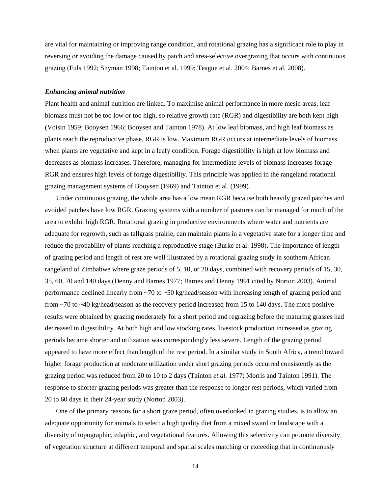are vital for maintaining or improving range condition, and rotational grazing has a significant role to play in reversing or avoiding the damage caused by patch and area-selective overgrazing that occurs with continuous grazing (Fuls 1992; Snyman 1998; Tainton et al. 1999; Teague et al. 2004; Barnes et al. 2008).

#### *Enhancing animal nutrition*

Plant health and animal nutrition are linked. To maximise animal performance in more mesic areas, leaf biomass must not be too low or too high, so relative growth rate (RGR) and digestibility are both kept high (Voisin 1959; Booysen 1966; Booysen and Tainton 1978). At low leaf biomass, and high leaf biomass as plants reach the reproductive phase, RGR is low. Maximum RGR occurs at intermediate levels of biomass when plants are vegetative and kept in a leafy condition. Forage digestibility is high at low biomass and decreases as biomass increases. Therefore, managing for intermediate levels of biomass increases forage RGR and ensures high levels of forage digestibility. This principle was applied in the rangeland rotational grazing management systems of Booysen (1969) and Tainton et al. (1999).

Under continuous grazing, the whole area has a low mean RGR because both heavily grazed patches and avoided patches have low RGR. Grazing systems with a number of pastures can be managed for much of the area to exhibit high RGR. Rotational grazing in productive environments where water and nutrients are adequate for regrowth, such as tallgrass prairie, can maintain plants in a vegetative state for a longer time and reduce the probability of plants reaching a reproductive stage (Burke et al. 1998). The importance of length of grazing period and length of rest are well illustrated by a rotational grazing study in southern African rangeland of Zimbabwe where graze periods of 5, 10, or 20 days, combined with recovery periods of 15, 30, 35, 60, 70 and 140 days (Denny and Barnes 1977; Barnes and Denny 1991 cited by Norton 2003). Animal performance declined linearly from ~70 to ~50 kg/head/season with increasing length of grazing period and from ~70 to ~40 kg/head/season as the recovery period increased from 15 to 140 days. The more positive results were obtained by grazing moderately for a short period and regrazing before the maturing grasses had decreased in digestibility. At both high and low stocking rates, livestock production increased as grazing periods became shorter and utilization was correspondingly less severe. Length of the grazing period appeared to have more effect than length of the rest period. In a similar study in South Africa, a trend toward higher forage production at moderate utilization under short grazing periods occurred consistently as the grazing period was reduced from 20 to 10 to 2 days (Tainton *et al.* 1977; Morris and Tainton 1991). The response to shorter grazing periods was greater than the response to longer rest periods, which varied from 20 to 60 days in their 24-year study (Norton 2003).

One of the primary reasons for a short graze period, often overlooked in grazing studies, is to allow an adequate opportunity for animals to select a high quality diet from a mixed sward or landscape with a diversity of topographic, edaphic, and vegetational features. Allowing this selectivity can promote diversity of vegetation structure at different temporal and spatial scales matching or exceeding that in continuously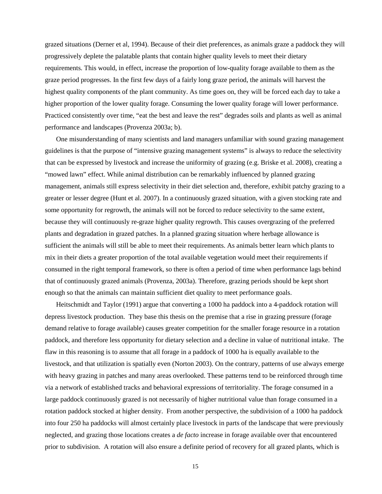grazed situations (Derner et al, 1994). Because of their diet preferences, as animals graze a paddock they will progressively deplete the palatable plants that contain higher quality levels to meet their dietary requirements. This would, in effect, increase the proportion of low-quality forage available to them as the graze period progresses. In the first few days of a fairly long graze period, the animals will harvest the highest quality components of the plant community. As time goes on, they will be forced each day to take a higher proportion of the lower quality forage. Consuming the lower quality forage will lower performance. Practiced consistently over time, "eat the best and leave the rest" degrades soils and plants as well as animal performance and landscapes (Provenza 2003a; b).

One misunderstanding of many scientists and land managers unfamiliar with sound grazing management guidelines is that the purpose of "intensive grazing management systems" is always to reduce the selectivity that can be expressed by livestock and increase the uniformity of grazing (e.g. Briske et al. 2008), creating a "mowed lawn" effect. While animal distribution can be remarkably influenced by planned grazing management, animals still express selectivity in their diet selection and, therefore, exhibit patchy grazing to a greater or lesser degree (Hunt et al. 2007). In a continuously grazed situation, with a given stocking rate and some opportunity for regrowth, the animals will not be forced to reduce selectivity to the same extent, because they will continuously re-graze higher quality regrowth. This causes overgrazing of the preferred plants and degradation in grazed patches. In a planned grazing situation where herbage allowance is sufficient the animals will still be able to meet their requirements. As animals better learn which plants to mix in their diets a greater proportion of the total available vegetation would meet their requirements if consumed in the right temporal framework, so there is often a period of time when performance lags behind that of continuously grazed animals (Provenza, 2003a). Therefore, grazing periods should be kept short enough so that the animals can maintain sufficient diet quality to meet performance goals.

Heitschmidt and Taylor (1991) argue that converting a 1000 ha paddock into a 4-paddock rotation will depress livestock production. They base this thesis on the premise that a rise in grazing pressure (forage demand relative to forage available) causes greater competition for the smaller forage resource in a rotation paddock, and therefore less opportunity for dietary selection and a decline in value of nutritional intake. The flaw in this reasoning is to assume that all forage in a paddock of 1000 ha is equally available to the livestock, and that utilization is spatially even (Norton 2003). On the contrary, patterns of use always emerge with heavy grazing in patches and many areas overlooked. These patterns tend to be reinforced through time via a network of established tracks and behavioral expressions of territoriality. The forage consumed in a large paddock continuously grazed is not necessarily of higher nutritional value than forage consumed in a rotation paddock stocked at higher density. From another perspective, the subdivision of a 1000 ha paddock into four 250 ha paddocks will almost certainly place livestock in parts of the landscape that were previously neglected, and grazing those locations creates a *de facto* increase in forage available over that encountered prior to subdivision. A rotation will also ensure a definite period of recovery for all grazed plants, which is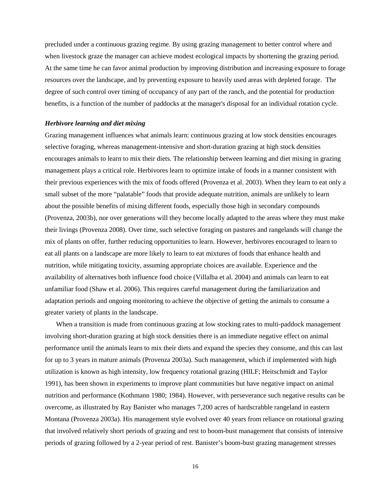precluded under a continuous grazing regime. By using grazing management to better control where and when livestock graze the manager can achieve modest ecological impacts by shortening the grazing period. At the same time he can favor animal production by improving distribution and increasing exposure to forage resources over the landscape, and by preventing exposure to heavily used areas with depleted forage. The degree of such control over timing of occupancy of any part of the ranch, and the potential for production benefits, is a function of the number of paddocks at the manager's disposal for an individual rotation cycle.

#### *Herbivore learning and diet mixing*

Grazing management influences what animals learn: continuous grazing at low stock densities encourages selective foraging, whereas management-intensive and short-duration grazing at high stock densities encourages animals to learn to mix their diets. The relationship between learning and diet mixing in grazing management plays a critical role. Herbivores learn to optimize intake of foods in a manner consistent with their previous experiences with the mix of foods offered (Provenza et al. 2003). When they learn to eat only a small subset of the more "palatable" foods that provide adequate nutrition, animals are unlikely to learn about the possible benefits of mixing different foods, especially those high in secondary compounds (Provenza, 2003b), nor over generations will they become locally adapted to the areas where they must make their livings (Provenza 2008). Over time, such selective foraging on pastures and rangelands will change the mix of plants on offer, further reducing opportunities to learn. However, herbivores encouraged to learn to eat all plants on a landscape are more likely to learn to eat mixtures of foods that enhance health and nutrition, while mitigating toxicity, assuming appropriate choices are available. Experience and the availability of alternatives both influence food choice (Villalba et al. 2004) and animals can learn to eat unfamiliar food (Shaw et al. 2006). This requires careful management during the familiarization and adaptation periods and ongoing monitoring to achieve the objective of getting the animals to consume a greater variety of plants in the landscape.

When a transition is made from continuous grazing at low stocking rates to multi-paddock management involving short-duration grazing at high stock densities there is an immediate negative effect on animal performance until the animals learn to mix their diets and expand the species they consume, and this can last for up to 3 years in mature animals (Provenza 2003a). Such management, which if implemented with high utilization is known as high intensity, low frequency rotational grazing (HILF; Heitschmidt and Taylor 1991), has been shown in experiments to improve plant communities but have negative impact on animal nutrition and performance (Kothmann 1980; 1984). However, with perseverance such negative results can be overcome, as illustrated by Ray Banister who manages 7,200 acres of hardscrabble rangeland in eastern Montana (Provenza 2003a). His management style evolved over 40 years from reliance on rotational grazing that involved relatively short periods of grazing and rest to boom-bust management that consists of intensive periods of grazing followed by a 2-year period of rest. Banister's boom-bust grazing management stresses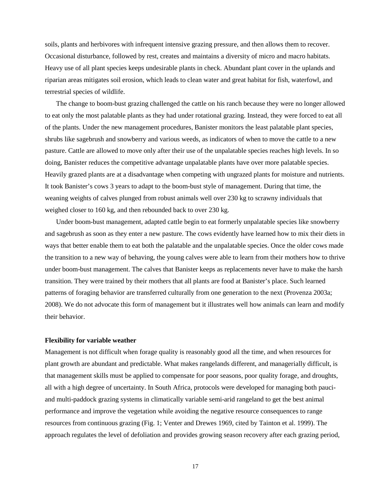soils, plants and herbivores with infrequent intensive grazing pressure, and then allows them to recover. Occasional disturbance, followed by rest, creates and maintains a diversity of micro and macro habitats. Heavy use of all plant species keeps undesirable plants in check. Abundant plant cover in the uplands and riparian areas mitigates soil erosion, which leads to clean water and great habitat for fish, waterfowl, and terrestrial species of wildlife.

The change to boom-bust grazing challenged the cattle on his ranch because they were no longer allowed to eat only the most palatable plants as they had under rotational grazing. Instead, they were forced to eat all of the plants. Under the new management procedures, Banister monitors the least palatable plant species, shrubs like sagebrush and snowberry and various weeds, as indicators of when to move the cattle to a new pasture. Cattle are allowed to move only after their use of the unpalatable species reaches high levels. In so doing, Banister reduces the competitive advantage unpalatable plants have over more palatable species. Heavily grazed plants are at a disadvantage when competing with ungrazed plants for moisture and nutrients. It took Banister's cows 3 years to adapt to the boom-bust style of management. During that time, the weaning weights of calves plunged from robust animals well over 230 kg to scrawny individuals that weighed closer to 160 kg, and then rebounded back to over 230 kg.

Under boom-bust management, adapted cattle begin to eat formerly unpalatable species like snowberry and sagebrush as soon as they enter a new pasture. The cows evidently have learned how to mix their diets in ways that better enable them to eat both the palatable and the unpalatable species. Once the older cows made the transition to a new way of behaving, the young calves were able to learn from their mothers how to thrive under boom-bust management. The calves that Banister keeps as replacements never have to make the harsh transition. They were trained by their mothers that all plants are food at Banister's place. Such learned patterns of foraging behavior are transferred culturally from one generation to the next (Provenza 2003a; 2008). We do not advocate this form of management but it illustrates well how animals can learn and modify their behavior.

#### **Flexibility for variable weather**

Management is not difficult when forage quality is reasonably good all the time, and when resources for plant growth are abundant and predictable. What makes rangelands different, and managerially difficult, is that management skills must be applied to compensate for poor seasons, poor quality forage, and droughts, all with a high degree of uncertainty. In South Africa, protocols were developed for managing both pauciand multi-paddock grazing systems in climatically variable semi-arid rangeland to get the best animal performance and improve the vegetation while avoiding the negative resource consequences to range resources from continuous grazing (Fig. 1; Venter and Drewes 1969, cited by Tainton et al. 1999). The approach regulates the level of defoliation and provides growing season recovery after each grazing period,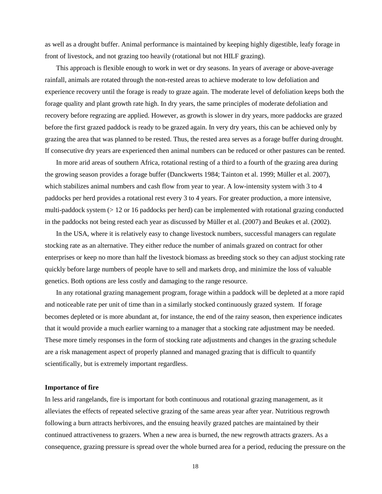as well as a drought buffer. Animal performance is maintained by keeping highly digestible, leafy forage in front of livestock, and not grazing too heavily (rotational but not HILF grazing).

This approach is flexible enough to work in wet or dry seasons. In years of average or above-average rainfall, animals are rotated through the non-rested areas to achieve moderate to low defoliation and experience recovery until the forage is ready to graze again. The moderate level of defoliation keeps both the forage quality and plant growth rate high. In dry years, the same principles of moderate defoliation and recovery before regrazing are applied. However, as growth is slower in dry years, more paddocks are grazed before the first grazed paddock is ready to be grazed again. In very dry years, this can be achieved only by grazing the area that was planned to be rested. Thus, the rested area serves as a forage buffer during drought. If consecutive dry years are experienced then animal numbers can be reduced or other pastures can be rented.

In more arid areas of southern Africa, rotational resting of a third to a fourth of the grazing area during the growing season provides a forage buffer (Danckwerts 1984; Tainton et al. 1999; Müller et al. 2007), which stabilizes animal numbers and cash flow from year to year. A low-intensity system with 3 to 4 paddocks per herd provides a rotational rest every 3 to 4 years. For greater production, a more intensive, multi-paddock system (> 12 or 16 paddocks per herd) can be implemented with rotational grazing conducted in the paddocks not being rested each year as discussed by Müller et al. (2007) and Beukes et al. (2002).

In the USA, where it is relatively easy to change livestock numbers, successful managers can regulate stocking rate as an alternative. They either reduce the number of animals grazed on contract for other enterprises or keep no more than half the livestock biomass as breeding stock so they can adjust stocking rate quickly before large numbers of people have to sell and markets drop, and minimize the loss of valuable genetics. Both options are less costly and damaging to the range resource.

In any rotational grazing management program, forage within a paddock will be depleted at a more rapid and noticeable rate per unit of time than in a similarly stocked continuously grazed system. If forage becomes depleted or is more abundant at, for instance, the end of the rainy season, then experience indicates that it would provide a much earlier warning to a manager that a stocking rate adjustment may be needed. These more timely responses in the form of stocking rate adjustments and changes in the grazing schedule are a risk management aspect of properly planned and managed grazing that is difficult to quantify scientifically, but is extremely important regardless.

# **Importance of fire**

In less arid rangelands, fire is important for both continuous and rotational grazing management, as it alleviates the effects of repeated selective grazing of the same areas year after year. Nutritious regrowth following a burn attracts herbivores, and the ensuing heavily grazed patches are maintained by their continued attractiveness to grazers. When a new area is burned, the new regrowth attracts grazers. As a consequence, grazing pressure is spread over the whole burned area for a period, reducing the pressure on the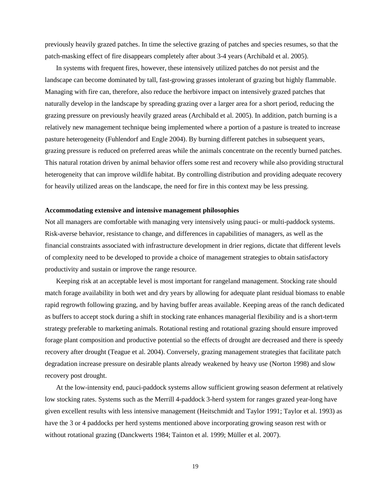previously heavily grazed patches. In time the selective grazing of patches and species resumes, so that the patch-masking effect of fire disappears completely after about 3-4 years (Archibald et al. 2005).

In systems with frequent fires, however, these intensively utilized patches do not persist and the landscape can become dominated by tall, fast-growing grasses intolerant of grazing but highly flammable. Managing with fire can, therefore, also reduce the herbivore impact on intensively grazed patches that naturally develop in the landscape by spreading grazing over a larger area for a short period, reducing the grazing pressure on previously heavily grazed areas (Archibald et al. 2005). In addition, patch burning is a relatively new management technique being implemented where a portion of a pasture is treated to increase pasture heterogeneity (Fuhlendorf and Engle 2004). By burning different patches in subsequent years, grazing pressure is reduced on preferred areas while the animals concentrate on the recently burned patches. This natural rotation driven by animal behavior offers some rest and recovery while also providing structural heterogeneity that can improve wildlife habitat. By controlling distribution and providing adequate recovery for heavily utilized areas on the landscape, the need for fire in this context may be less pressing.

#### **Accommodating extensive and intensive management philosophies**

Not all managers are comfortable with managing very intensively using pauci- or multi-paddock systems. Risk-averse behavior, resistance to change, and differences in capabilities of managers, as well as the financial constraints associated with infrastructure development in drier regions, dictate that different levels of complexity need to be developed to provide a choice of management strategies to obtain satisfactory productivity and sustain or improve the range resource.

Keeping risk at an acceptable level is most important for rangeland management. Stocking rate should match forage availability in both wet and dry years by allowing for adequate plant residual biomass to enable rapid regrowth following grazing, and by having buffer areas available. Keeping areas of the ranch dedicated as buffers to accept stock during a shift in stocking rate enhances managerial flexibility and is a short-term strategy preferable to marketing animals. Rotational resting and rotational grazing should ensure improved forage plant composition and productive potential so the effects of drought are decreased and there is speedy recovery after drought (Teague et al. 2004). Conversely, grazing management strategies that facilitate patch degradation increase pressure on desirable plants already weakened by heavy use (Norton 1998) and slow recovery post drought.

At the low-intensity end, pauci-paddock systems allow sufficient growing season deferment at relatively low stocking rates. Systems such as the Merrill 4-paddock 3-herd system for ranges grazed year-long have given excellent results with less intensive management (Heitschmidt and Taylor 1991; Taylor et al. 1993) as have the 3 or 4 paddocks per herd systems mentioned above incorporating growing season rest with or without rotational grazing (Danckwerts 1984; Tainton et al. 1999; Müller et al. 2007).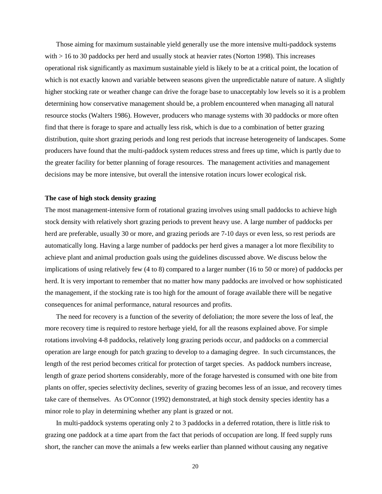Those aiming for maximum sustainable yield generally use the more intensive multi-paddock systems with  $> 16$  to 30 paddocks per herd and usually stock at heavier rates (Norton 1998). This increases operational risk significantly as maximum sustainable yield is likely to be at a critical point, the location of which is not exactly known and variable between seasons given the unpredictable nature of nature. A slightly higher stocking rate or weather change can drive the forage base to unacceptably low levels so it is a problem determining how conservative management should be, a problem encountered when managing all natural resource stocks (Walters 1986). However, producers who manage systems with 30 paddocks or more often find that there is forage to spare and actually less risk, which is due to a combination of better grazing distribution, quite short grazing periods and long rest periods that increase heterogeneity of landscapes. Some producers have found that the multi-paddock system reduces stress and frees up time, which is partly due to the greater facility for better planning of forage resources. The management activities and management decisions may be more intensive, but overall the intensive rotation incurs lower ecological risk.

### **The case of high stock density grazing**

The most management-intensive form of rotational grazing involves using small paddocks to achieve high stock density with relatively short grazing periods to prevent heavy use. A large number of paddocks per herd are preferable, usually 30 or more, and grazing periods are 7-10 days or even less, so rest periods are automatically long. Having a large number of paddocks per herd gives a manager a lot more flexibility to achieve plant and animal production goals using the guidelines discussed above. We discuss below the implications of using relatively few (4 to 8) compared to a larger number (16 to 50 or more) of paddocks per herd. It is very important to remember that no matter how many paddocks are involved or how sophisticated the management, if the stocking rate is too high for the amount of forage available there will be negative consequences for animal performance, natural resources and profits.

The need for recovery is a function of the severity of defoliation; the more severe the loss of leaf, the more recovery time is required to restore herbage yield, for all the reasons explained above. For simple rotations involving 4-8 paddocks, relatively long grazing periods occur, and paddocks on a commercial operation are large enough for patch grazing to develop to a damaging degree. In such circumstances, the length of the rest period becomes critical for protection of target species. As paddock numbers increase, length of graze period shortens considerably, more of the forage harvested is consumed with one bite from plants on offer, species selectivity declines, severity of grazing becomes less of an issue, and recovery times take care of themselves. As O'Connor (1992) demonstrated, at high stock density species identity has a minor role to play in determining whether any plant is grazed or not.

In multi-paddock systems operating only 2 to 3 paddocks in a deferred rotation, there is little risk to grazing one paddock at a time apart from the fact that periods of occupation are long. If feed supply runs short, the rancher can move the animals a few weeks earlier than planned without causing any negative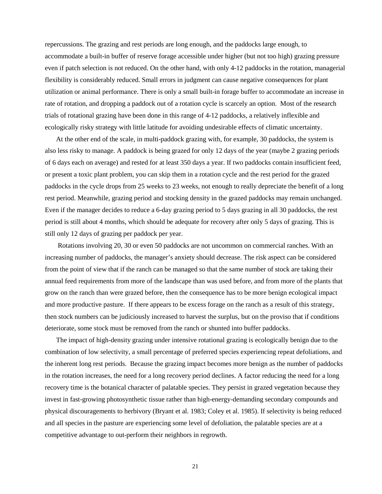repercussions. The grazing and rest periods are long enough, and the paddocks large enough, to accommodate a built-in buffer of reserve forage accessible under higher (but not too high) grazing pressure even if patch selection is not reduced. On the other hand, with only 4-12 paddocks in the rotation, managerial flexibility is considerably reduced. Small errors in judgment can cause negative consequences for plant utilization or animal performance. There is only a small built-in forage buffer to accommodate an increase in rate of rotation, and dropping a paddock out of a rotation cycle is scarcely an option. Most of the research trials of rotational grazing have been done in this range of 4-12 paddocks, a relatively inflexible and ecologically risky strategy with little latitude for avoiding undesirable effects of climatic uncertainty.

At the other end of the scale, in multi-paddock grazing with, for example, 30 paddocks, the system is also less risky to manage. A paddock is being grazed for only 12 days of the year (maybe 2 grazing periods of 6 days each on average) and rested for at least 350 days a year. If two paddocks contain insufficient feed, or present a toxic plant problem, you can skip them in a rotation cycle and the rest period for the grazed paddocks in the cycle drops from 25 weeks to 23 weeks, not enough to really depreciate the benefit of a long rest period. Meanwhile, grazing period and stocking density in the grazed paddocks may remain unchanged. Even if the manager decides to reduce a 6-day grazing period to 5 days grazing in all 30 paddocks, the rest period is still about 4 months, which should be adequate for recovery after only 5 days of grazing. This is still only 12 days of grazing per paddock per year.

 Rotations involving 20, 30 or even 50 paddocks are not uncommon on commercial ranches. With an increasing number of paddocks, the manager's anxiety should decrease. The risk aspect can be considered from the point of view that if the ranch can be managed so that the same number of stock are taking their annual feed requirements from more of the landscape than was used before, and from more of the plants that grow on the ranch than were grazed before, then the consequence has to be more benign ecological impact and more productive pasture. If there appears to be excess forage on the ranch as a result of this strategy, then stock numbers can be judiciously increased to harvest the surplus, but on the proviso that if conditions deteriorate, some stock must be removed from the ranch or shunted into buffer paddocks.

The impact of high-density grazing under intensive rotational grazing is ecologically benign due to the combination of low selectivity, a small percentage of preferred species experiencing repeat defoliations, and the inherent long rest periods. Because the grazing impact becomes more benign as the number of paddocks in the rotation increases, the need for a long recovery period declines. A factor reducing the need for a long recovery time is the botanical character of palatable species. They persist in grazed vegetation because they invest in fast-growing photosynthetic tissue rather than high-energy-demanding secondary compounds and physical discouragements to herbivory (Bryant et al. 1983; Coley et al. 1985). If selectivity is being reduced and all species in the pasture are experiencing some level of defoliation, the palatable species are at a competitive advantage to out-perform their neighbors in regrowth.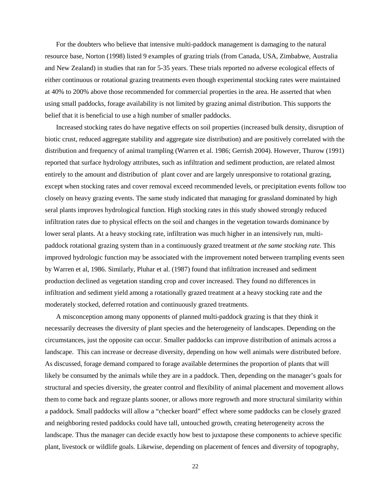For the doubters who believe that intensive multi-paddock management is damaging to the natural resource base, Norton (1998) listed 9 examples of grazing trials (from Canada, USA, Zimbabwe, Australia and New Zealand) in studies that ran for 5-35 years. These trials reported no adverse ecological effects of either continuous or rotational grazing treatments even though experimental stocking rates were maintained at 40% to 200% above those recommended for commercial properties in the area. He asserted that when using small paddocks, forage availability is not limited by grazing animal distribution. This supports the belief that it is beneficial to use a high number of smaller paddocks.

Increased stocking rates do have negative effects on soil properties (increased bulk density, disruption of biotic crust, reduced aggregate stability and aggregate size distribution) and are positively correlated with the distribution and frequency of animal trampling (Warren et al. 1986; Gerrish 2004). However, Thurow (1991) reported that surface hydrology attributes, such as infiltration and sediment production, are related almost entirely to the amount and distribution of plant cover and are largely unresponsive to rotational grazing, except when stocking rates and cover removal exceed recommended levels, or precipitation events follow too closely on heavy grazing events. The same study indicated that managing for grassland dominated by high seral plants improves hydrological function. High stocking rates in this study showed strongly reduced infiltration rates due to physical effects on the soil and changes in the vegetation towards dominance by lower seral plants. At a heavy stocking rate, infiltration was much higher in an intensively run, multipaddock rotational grazing system than in a continuously grazed treatment *at the same stocking rate.* This improved hydrologic function may be associated with the improvement noted between trampling events seen by Warren et al, 1986. Similarly, Pluhar et al. (1987) found that infiltration increased and sediment production declined as vegetation standing crop and cover increased. They found no differences in infiltration and sediment yield among a rotationally grazed treatment at a heavy stocking rate and the moderately stocked, deferred rotation and continuously grazed treatments.

A misconception among many opponents of planned multi-paddock grazing is that they think it necessarily decreases the diversity of plant species and the heterogeneity of landscapes. Depending on the circumstances, just the opposite can occur. Smaller paddocks can improve distribution of animals across a landscape. This can increase or decrease diversity, depending on how well animals were distributed before. As discussed, forage demand compared to forage available determines the proportion of plants that will likely be consumed by the animals while they are in a paddock. Then, depending on the manager's goals for structural and species diversity, the greater control and flexibility of animal placement and movement allows them to come back and regraze plants sooner, or allows more regrowth and more structural similarity within a paddock. Small paddocks will allow a "checker board" effect where some paddocks can be closely grazed and neighboring rested paddocks could have tall, untouched growth, creating heterogeneity across the landscape. Thus the manager can decide exactly how best to juxtapose these components to achieve specific plant, livestock or wildlife goals. Likewise, depending on placement of fences and diversity of topography,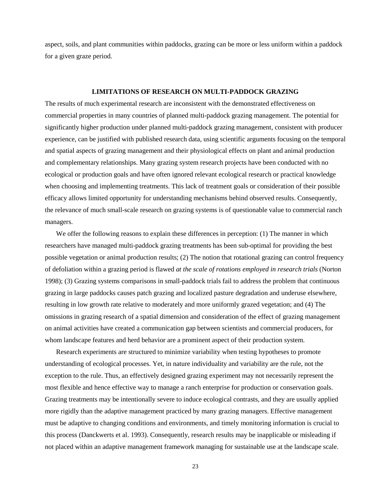aspect, soils, and plant communities within paddocks, grazing can be more or less uniform within a paddock for a given graze period.

#### **LIMITATIONS OF RESEARCH ON MULTI-PADDOCK GRAZING**

The results of much experimental research are inconsistent with the demonstrated effectiveness on commercial properties in many countries of planned multi-paddock grazing management. The potential for significantly higher production under planned multi-paddock grazing management, consistent with producer experience, can be justified with published research data, using scientific arguments focusing on the temporal and spatial aspects of grazing management and their physiological effects on plant and animal production and complementary relationships. Many grazing system research projects have been conducted with no ecological or production goals and have often ignored relevant ecological research or practical knowledge when choosing and implementing treatments. This lack of treatment goals or consideration of their possible efficacy allows limited opportunity for understanding mechanisms behind observed results. Consequently, the relevance of much small-scale research on grazing systems is of questionable value to commercial ranch managers.

We offer the following reasons to explain these differences in perception: (1) The manner in which researchers have managed multi-paddock grazing treatments has been sub-optimal for providing the best possible vegetation or animal production results; (2) The notion that rotational grazing can control frequency of defoliation within a grazing period is flawed *at the scale of rotations employed in research trials* (Norton 1998); (3) Grazing systems comparisons in small-paddock trials fail to address the problem that continuous grazing in large paddocks causes patch grazing and localized pasture degradation and underuse elsewhere, resulting in low growth rate relative to moderately and more uniformly grazed vegetation; and (4) The omissions in grazing research of a spatial dimension and consideration of the effect of grazing management on animal activities have created a communication gap between scientists and commercial producers, for whom landscape features and herd behavior are a prominent aspect of their production system.

Research experiments are structured to minimize variability when testing hypotheses to promote understanding of ecological processes. Yet, in nature individuality and variability are the rule, not the exception to the rule. Thus, an effectively designed grazing experiment may not necessarily represent the most flexible and hence effective way to manage a ranch enterprise for production or conservation goals. Grazing treatments may be intentionally severe to induce ecological contrasts, and they are usually applied more rigidly than the adaptive management practiced by many grazing managers. Effective management must be adaptive to changing conditions and environments, and timely monitoring information is crucial to this process (Danckwerts et al. 1993). Consequently, research results may be inapplicable or misleading if not placed within an adaptive management framework managing for sustainable use at the landscape scale.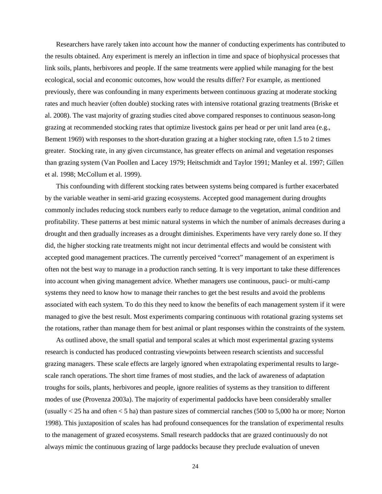Researchers have rarely taken into account how the manner of conducting experiments has contributed to the results obtained. Any experiment is merely an inflection in time and space of biophysical processes that link soils, plants, herbivores and people. If the same treatments were applied while managing for the best ecological, social and economic outcomes, how would the results differ? For example, as mentioned previously, there was confounding in many experiments between continuous grazing at moderate stocking rates and much heavier (often double) stocking rates with intensive rotational grazing treatments (Briske et al. 2008). The vast majority of grazing studies cited above compared responses to continuous season-long grazing at recommended stocking rates that optimize livestock gains per head or per unit land area (e.g., Bement 1969) with responses to the short-duration grazing at a higher stocking rate, often 1.5 to 2 times greater. Stocking rate, in any given circumstance, has greater effects on animal and vegetation responses than grazing system (Van Poollen and Lacey 1979; Heitschmidt and Taylor 1991; Manley et al. 1997; Gillen et al. 1998; McCollum et al. 1999).

This confounding with different stocking rates between systems being compared is further exacerbated by the variable weather in semi-arid grazing ecosystems. Accepted good management during droughts commonly includes reducing stock numbers early to reduce damage to the vegetation, animal condition and profitability. These patterns at best mimic natural systems in which the number of animals decreases during a drought and then gradually increases as a drought diminishes. Experiments have very rarely done so. If they did, the higher stocking rate treatments might not incur detrimental effects and would be consistent with accepted good management practices. The currently perceived "correct" management of an experiment is often not the best way to manage in a production ranch setting. It is very important to take these differences into account when giving management advice. Whether managers use continuous, pauci- or multi-camp systems they need to know how to manage their ranches to get the best results and avoid the problems associated with each system. To do this they need to know the benefits of each management system if it were managed to give the best result. Most experiments comparing continuous with rotational grazing systems set the rotations, rather than manage them for best animal or plant responses within the constraints of the system.

As outlined above, the small spatial and temporal scales at which most experimental grazing systems research is conducted has produced contrasting viewpoints between research scientists and successful grazing managers. These scale effects are largely ignored when extrapolating experimental results to largescale ranch operations. The short time frames of most studies, and the lack of awareness of adaptation troughs for soils, plants, herbivores and people, ignore realities of systems as they transition to different modes of use (Provenza 2003a). The majority of experimental paddocks have been considerably smaller (usually < 25 ha and often < 5 ha) than pasture sizes of commercial ranches (500 to 5,000 ha or more; Norton 1998). This juxtaposition of scales has had profound consequences for the translation of experimental results to the management of grazed ecosystems. Small research paddocks that are grazed continuously do not always mimic the continuous grazing of large paddocks because they preclude evaluation of uneven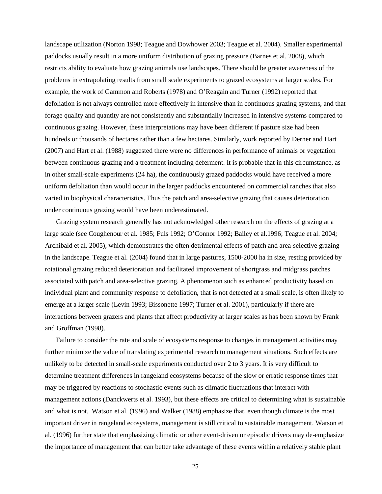landscape utilization (Norton 1998; Teague and Dowhower 2003; Teague et al. 2004). Smaller experimental paddocks usually result in a more uniform distribution of grazing pressure (Barnes et al. 2008), which restricts ability to evaluate how grazing animals use landscapes. There should be greater awareness of the problems in extrapolating results from small scale experiments to grazed ecosystems at larger scales. For example, the work of Gammon and Roberts (1978) and O'Reagain and Turner (1992) reported that defoliation is not always controlled more effectively in intensive than in continuous grazing systems, and that forage quality and quantity are not consistently and substantially increased in intensive systems compared to continuous grazing. However, these interpretations may have been different if pasture size had been hundreds or thousands of hectares rather than a few hectares. Similarly, work reported by Derner and Hart (2007) and Hart et al. (1988) suggested there were no differences in performance of animals or vegetation between continuous grazing and a treatment including deferment. It is probable that in this circumstance, as in other small-scale experiments (24 ha), the continuously grazed paddocks would have received a more uniform defoliation than would occur in the larger paddocks encountered on commercial ranches that also varied in biophysical characteristics. Thus the patch and area-selective grazing that causes deterioration under continuous grazing would have been underestimated.

Grazing system research generally has not acknowledged other research on the effects of grazing at a large scale (see Coughenour et al. 1985; Fuls 1992; O'Connor 1992; Bailey et al.1996; Teague et al. 2004; Archibald et al. 2005), which demonstrates the often detrimental effects of patch and area-selective grazing in the landscape. Teague et al. (2004) found that in large pastures, 1500-2000 ha in size, resting provided by rotational grazing reduced deterioration and facilitated improvement of shortgrass and midgrass patches associated with patch and area-selective grazing. A phenomenon such as enhanced productivity based on individual plant and community response to defoliation, that is not detected at a small scale, is often likely to emerge at a larger scale (Levin 1993; Bissonette 1997; Turner et al. 2001), particularly if there are interactions between grazers and plants that affect productivity at larger scales as has been shown by Frank and Groffman (1998).

Failure to consider the rate and scale of ecosystems response to changes in management activities may further minimize the value of translating experimental research to management situations. Such effects are unlikely to be detected in small-scale experiments conducted over 2 to 3 years. It is very difficult to determine treatment differences in rangeland ecosystems because of the slow or erratic response times that may be triggered by reactions to stochastic events such as climatic fluctuations that interact with management actions (Danckwerts et al. 1993), but these effects are critical to determining what is sustainable and what is not. Watson et al. (1996) and Walker (1988) emphasize that, even though climate is the most important driver in rangeland ecosystems, management is still critical to sustainable management. Watson et al. (1996) further state that emphasizing climatic or other event-driven or episodic drivers may de-emphasize the importance of management that can better take advantage of these events within a relatively stable plant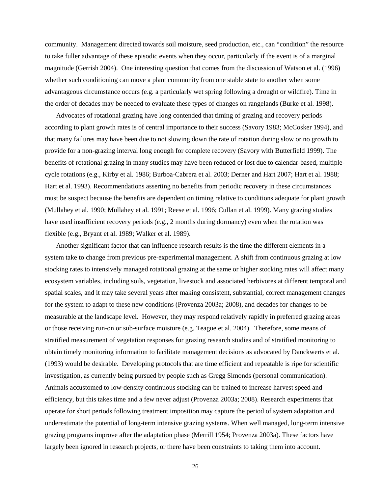community. Management directed towards soil moisture, seed production, etc., can "condition" the resource to take fuller advantage of these episodic events when they occur, particularly if the event is of a marginal magnitude (Gerrish 2004). One interesting question that comes from the discussion of Watson et al. (1996) whether such conditioning can move a plant community from one stable state to another when some advantageous circumstance occurs (e.g. a particularly wet spring following a drought or wildfire). Time in the order of decades may be needed to evaluate these types of changes on rangelands (Burke et al. 1998).

Advocates of rotational grazing have long contended that timing of grazing and recovery periods according to plant growth rates is of central importance to their success (Savory 1983; McCosker 1994), and that many failures may have been due to not slowing down the rate of rotation during slow or no growth to provide for a non-grazing interval long enough for complete recovery (Savory with Butterfield 1999). The benefits of rotational grazing in many studies may have been reduced or lost due to calendar-based, multiplecycle rotations (e.g., Kirby et al. 1986; Burboa-Cabrera et al. 2003; Derner and Hart 2007; Hart et al. 1988; Hart et al. 1993). Recommendations asserting no benefits from periodic recovery in these circumstances must be suspect because the benefits are dependent on timing relative to conditions adequate for plant growth (Mullahey et al. 1990; Mullahey et al. 1991; Reese et al. 1996; Cullan et al. 1999). Many grazing studies have used insufficient recovery periods (e.g., 2 months during dormancy) even when the rotation was flexible (e.g., Bryant et al. 1989; Walker et al. 1989).

Another significant factor that can influence research results is the time the different elements in a system take to change from previous pre-experimental management. A shift from continuous grazing at low stocking rates to intensively managed rotational grazing at the same or higher stocking rates will affect many ecosystem variables, including soils, vegetation, livestock and associated herbivores at different temporal and spatial scales, and it may take several years after making consistent, substantial, correct management changes for the system to adapt to these new conditions (Provenza 2003a; 2008), and decades for changes to be measurable at the landscape level. However, they may respond relatively rapidly in preferred grazing areas or those receiving run-on or sub-surface moisture (e.g. Teague et al. 2004). Therefore, some means of stratified measurement of vegetation responses for grazing research studies and of stratified monitoring to obtain timely monitoring information to facilitate management decisions as advocated by Danckwerts et al. (1993) would be desirable. Developing protocols that are time efficient and repeatable is ripe for scientific investigation, as currently being pursued by people such as Gregg Simonds (personal communication). Animals accustomed to low-density continuous stocking can be trained to increase harvest speed and efficiency, but this takes time and a few never adjust (Provenza 2003a; 2008). Research experiments that operate for short periods following treatment imposition may capture the period of system adaptation and underestimate the potential of long-term intensive grazing systems. When well managed, long-term intensive grazing programs improve after the adaptation phase (Merrill 1954; Provenza 2003a). These factors have largely been ignored in research projects, or there have been constraints to taking them into account.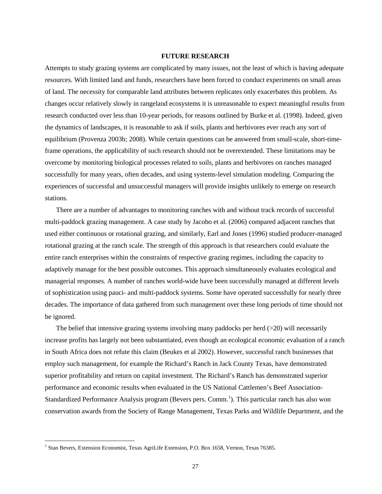### **FUTURE RESEARCH**

Attempts to study grazing systems are complicated by many issues, not the least of which is having adequate resources. With limited land and funds, researchers have been forced to conduct experiments on small areas of land. The necessity for comparable land attributes between replicates only exacerbates this problem. As changes occur relatively slowly in rangeland ecosystems it is unreasonable to expect meaningful results from research conducted over less than 10-year periods, for reasons outlined by Burke et al. (1998). Indeed, given the dynamics of landscapes, it is reasonable to ask if soils, plants and herbivores ever reach any sort of equilibrium (Provenza 2003b; 2008). While certain questions can be answered from small-scale, short-timeframe operations, the applicability of such research should not be overextended. These limitations may be overcome by monitoring biological processes related to soils, plants and herbivores on ranches managed successfully for many years, often decades, and using systems-level simulation modeling. Comparing the experiences of successful and unsuccessful managers will provide insights unlikely to emerge on research stations.

There are a number of advantages to monitoring ranches with and without track records of successful multi-paddock grazing management. A case study by Jacobo et al. (2006) compared adjacent ranches that used either continuous or rotational grazing, and similarly, Earl and Jones (1996) studied producer-managed rotational grazing at the ranch scale. The strength of this approach is that researchers could evaluate the entire ranch enterprises within the constraints of respective grazing regimes, including the capacity to adaptively manage for the best possible outcomes. This approach simultaneously evaluates ecological and managerial responses. A number of ranches world-wide have been successfully managed at different levels of sophistication using pauci- and multi-paddock systems. Some have operated successfully for nearly three decades. The importance of data gathered from such management over these long periods of time should not be ignored.

The belief that intensive grazing systems involving many paddocks per herd  $(>20)$  will necessarily increase profits has largely not been substantiated, even though an ecological economic evaluation of a ranch in South Africa does not refute this claim (Beukes et al 2002). However, successful ranch businesses that employ such management, for example the Richard's Ranch in Jack County Texas, have demonstrated superior profitability and return on capital investment. The Richard's Ranch has demonstrated superior performance and economic results when evaluated in the US National Cattlemen's Beef Association-Standardized Performance Analysis program (Bevers pers. Comm.<sup>[1](#page-26-0)</sup>). This particular ranch has also won conservation awards from the Society of Range Management, Texas Parks and Wildlife Department, and the

 $\overline{a}$ 

<span id="page-26-0"></span><sup>&</sup>lt;sup>1</sup> Stan Bevers, Extension Economist, Texas AgriLife Extension, P.O. Box 1658, Vernon, Texas 76385.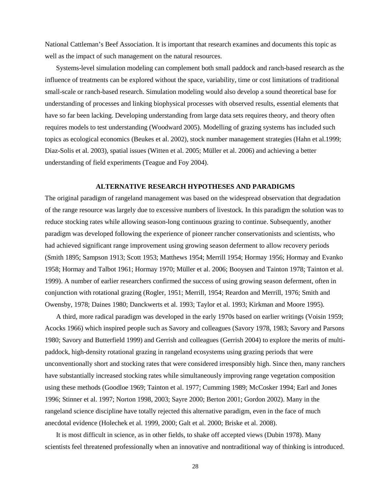National Cattleman's Beef Association. It is important that research examines and documents this topic as well as the impact of such management on the natural resources.

Systems-level simulation modeling can complement both small paddock and ranch-based research as the influence of treatments can be explored without the space, variability, time or cost limitations of traditional small-scale or ranch-based research. Simulation modeling would also develop a sound theoretical base for understanding of processes and linking biophysical processes with observed results, essential elements that have so far been lacking. Developing understanding from large data sets requires theory, and theory often requires models to test understanding (Woodward 2005). Modelling of grazing systems has included such topics as ecological economics (Beukes et al. 2002), stock number management strategies (Hahn et al.1999; Diaz-Solis et al. 2003), spatial issues (Witten et al. 2005; Müller et al. 2006) and achieving a better understanding of field experiments (Teague and Foy 2004).

#### **ALTERNATIVE RESEARCH HYPOTHESES AND PARADIGMS**

The original paradigm of rangeland management was based on the widespread observation that degradation of the range resource was largely due to excessive numbers of livestock. In this paradigm the solution was to reduce stocking rates while allowing season-long continuous grazing to continue. Subsequently, another paradigm was developed following the experience of pioneer rancher conservationists and scientists, who had achieved significant range improvement using growing season deferment to allow recovery periods (Smith 1895; Sampson 1913; Scott 1953; Matthews 1954; Merrill 1954; Hormay 1956; Hormay and Evanko 1958; Hormay and Talbot 1961; Hormay 1970; Müller et al. 2006; Booysen and Tainton 1978; Tainton et al. 1999). A number of earlier researchers confirmed the success of using growing season deferment, often in conjunction with rotational grazing (Rogler, 1951; Merrill, 1954; Reardon and Merrill, 1976; Smith and Owensby, 1978; Daines 1980; Danckwerts et al. 1993; Taylor et al. 1993; Kirkman and Moore 1995).

A third, more radical paradigm was developed in the early 1970s based on earlier writings (Voisin 1959; Acocks 1966) which inspired people such as Savory and colleagues (Savory 1978, 1983; Savory and Parsons 1980; Savory and Butterfield 1999) and Gerrish and colleagues (Gerrish 2004) to explore the merits of multipaddock, high-density rotational grazing in rangeland ecosystems using grazing periods that were unconventionally short and stocking rates that were considered irresponsibly high. Since then, many ranchers have substantially increased stocking rates while simultaneously improving range vegetation composition using these methods (Goodloe 1969; Tainton et al. 1977; Cumming 1989; McCosker 1994; Earl and Jones 1996; Stinner et al. 1997; Norton 1998, 2003; Sayre 2000; Berton 2001; Gordon 2002). Many in the rangeland science discipline have totally rejected this alternative paradigm, even in the face of much anecdotal evidence (Holechek et al. 1999, 2000; Galt et al. 2000; Briske et al. 2008).

It is most difficult in science, as in other fields, to shake off accepted views (Dubin 1978). Many scientists feel threatened professionally when an innovative and nontraditional way of thinking is introduced.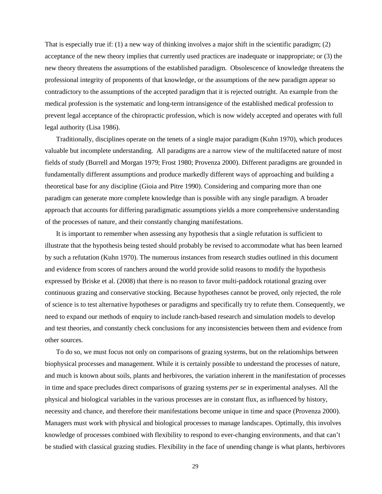That is especially true if: (1) a new way of thinking involves a major shift in the scientific paradigm; (2) acceptance of the new theory implies that currently used practices are inadequate or inappropriate; or (3) the new theory threatens the assumptions of the established paradigm. Obsolescence of knowledge threatens the professional integrity of proponents of that knowledge, or the assumptions of the new paradigm appear so contradictory to the assumptions of the accepted paradigm that it is rejected outright. An example from the medical profession is the systematic and long-term intransigence of the established medical profession to prevent legal acceptance of the chiropractic profession, which is now widely accepted and operates with full legal authority (Lisa 1986).

Traditionally, disciplines operate on the tenets of a single major paradigm (Kuhn 1970), which produces valuable but incomplete understanding. All paradigms are a narrow view of the multifaceted nature of most fields of study (Burrell and Morgan 1979; Frost 1980; Provenza 2000). Different paradigms are grounded in fundamentally different assumptions and produce markedly different ways of approaching and building a theoretical base for any discipline (Gioia and Pitre 1990). Considering and comparing more than one paradigm can generate more complete knowledge than is possible with any single paradigm. A broader approach that accounts for differing paradigmatic assumptions yields a more comprehensive understanding of the processes of nature, and their constantly changing manifestations.

It is important to remember when assessing any hypothesis that a single refutation is sufficient to illustrate that the hypothesis being tested should probably be revised to accommodate what has been learned by such a refutation (Kuhn 1970). The numerous instances from research studies outlined in this document and evidence from scores of ranchers around the world provide solid reasons to modify the hypothesis expressed by Briske et al. (2008) that there is no reason to favor multi-paddock rotational grazing over continuous grazing and conservative stocking. Because hypotheses cannot be proved, only rejected, the role of science is to test alternative hypotheses or paradigms and specifically try to refute them. Consequently, we need to expand our methods of enquiry to include ranch-based research and simulation models to develop and test theories, and constantly check conclusions for any inconsistencies between them and evidence from other sources.

To do so, we must focus not only on comparisons of grazing systems, but on the relationships between biophysical processes and management. While it is certainly possible to understand the processes of nature, and much is known about soils, plants and herbivores, the variation inherent in the manifestation of processes in time and space precludes direct comparisons of grazing systems *per se* in experimental analyses. All the physical and biological variables in the various processes are in constant flux, as influenced by history, necessity and chance, and therefore their manifestations become unique in time and space (Provenza 2000). Managers must work with physical and biological processes to manage landscapes. Optimally, this involves knowledge of processes combined with flexibility to respond to ever-changing environments, and that can't be studied with classical grazing studies. Flexibility in the face of unending change is what plants, herbivores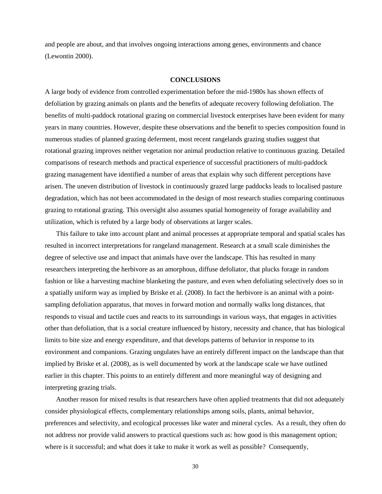and people are about, and that involves ongoing interactions among genes, environments and chance (Lewontin 2000).

## **CONCLUSIONS**

A large body of evidence from controlled experimentation before the mid-1980s has shown effects of defoliation by grazing animals on plants and the benefits of adequate recovery following defoliation. The benefits of multi-paddock rotational grazing on commercial livestock enterprises have been evident for many years in many countries. However, despite these observations and the benefit to species composition found in numerous studies of planned grazing deferment, most recent rangelands grazing studies suggest that rotational grazing improves neither vegetation nor animal production relative to continuous grazing. Detailed comparisons of research methods and practical experience of successful practitioners of multi-paddock grazing management have identified a number of areas that explain why such different perceptions have arisen. The uneven distribution of livestock in continuously grazed large paddocks leads to localised pasture degradation, which has not been accommodated in the design of most research studies comparing continuous grazing to rotational grazing. This oversight also assumes spatial homogeneity of forage availability and utilization, which is refuted by a large body of observations at larger scales.

This failure to take into account plant and animal processes at appropriate temporal and spatial scales has resulted in incorrect interpretations for rangeland management. Research at a small scale diminishes the degree of selective use and impact that animals have over the landscape. This has resulted in many researchers interpreting the herbivore as an amorphous, diffuse defoliator, that plucks forage in random fashion or like a harvesting machine blanketing the pasture, and even when defoliating selectively does so in a spatially uniform way as implied by Briske et al. (2008). In fact the herbivore is an animal with a pointsampling defoliation apparatus, that moves in forward motion and normally walks long distances, that responds to visual and tactile cues and reacts to its surroundings in various ways, that engages in activities other than defoliation, that is a social creature influenced by history, necessity and chance, that has biological limits to bite size and energy expenditure, and that develops patterns of behavior in response to its environment and companions. Grazing ungulates have an entirely different impact on the landscape than that implied by Briske et al. (2008), as is well documented by work at the landscape scale we have outlined earlier in this chapter. This points to an entirely different and more meaningful way of designing and interpreting grazing trials.

Another reason for mixed results is that researchers have often applied treatments that did not adequately consider physiological effects, complementary relationships among soils, plants, animal behavior, preferences and selectivity, and ecological processes like water and mineral cycles. As a result, they often do not address nor provide valid answers to practical questions such as: how good is this management option; where is it successful; and what does it take to make it work as well as possible? Consequently,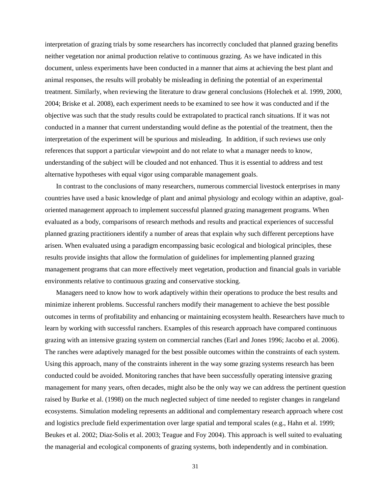interpretation of grazing trials by some researchers has incorrectly concluded that planned grazing benefits neither vegetation nor animal production relative to continuous grazing. As we have indicated in this document, unless experiments have been conducted in a manner that aims at achieving the best plant and animal responses, the results will probably be misleading in defining the potential of an experimental treatment. Similarly, when reviewing the literature to draw general conclusions (Holechek et al. 1999, 2000, 2004; Briske et al. 2008), each experiment needs to be examined to see how it was conducted and if the objective was such that the study results could be extrapolated to practical ranch situations. If it was not conducted in a manner that current understanding would define as the potential of the treatment, then the interpretation of the experiment will be spurious and misleading. In addition, if such reviews use only references that support a particular viewpoint and do not relate to what a manager needs to know, understanding of the subject will be clouded and not enhanced. Thus it is essential to address and test alternative hypotheses with equal vigor using comparable management goals.

In contrast to the conclusions of many researchers, numerous commercial livestock enterprises in many countries have used a basic knowledge of plant and animal physiology and ecology within an adaptive, goaloriented management approach to implement successful planned grazing management programs. When evaluated as a body, comparisons of research methods and results and practical experiences of successful planned grazing practitioners identify a number of areas that explain why such different perceptions have arisen. When evaluated using a paradigm encompassing basic ecological and biological principles, these results provide insights that allow the formulation of guidelines for implementing planned grazing management programs that can more effectively meet vegetation, production and financial goals in variable environments relative to continuous grazing and conservative stocking.

Managers need to know how to work adaptively within their operations to produce the best results and minimize inherent problems. Successful ranchers modify their management to achieve the best possible outcomes in terms of profitability and enhancing or maintaining ecosystem health. Researchers have much to learn by working with successful ranchers. Examples of this research approach have compared continuous grazing with an intensive grazing system on commercial ranches (Earl and Jones 1996; Jacobo et al. 2006). The ranches were adaptively managed for the best possible outcomes within the constraints of each system. Using this approach, many of the constraints inherent in the way some grazing systems research has been conducted could be avoided. Monitoring ranches that have been successfully operating intensive grazing management for many years, often decades, might also be the only way we can address the pertinent question raised by Burke et al. (1998) on the much neglected subject of time needed to register changes in rangeland ecosystems. Simulation modeling represents an additional and complementary research approach where cost and logistics preclude field experimentation over large spatial and temporal scales (e.g., Hahn et al. 1999; Beukes et al. 2002; Diaz-Solis et al. 2003; Teague and Foy 2004). This approach is well suited to evaluating the managerial and ecological components of grazing systems, both independently and in combination.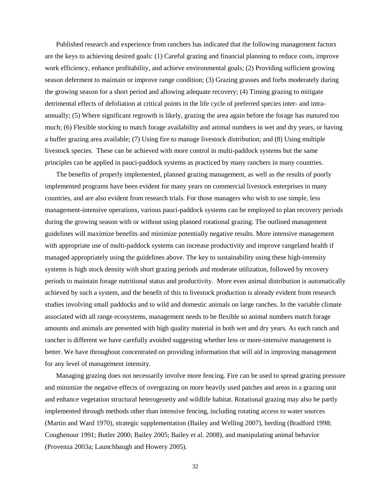Published research and experience from ranchers has indicated that the following management factors are the keys to achieving desired goals: (1) Careful grazing and financial planning to reduce costs, improve work efficiency, enhance profitability, and achieve environmental goals; (2) Providing sufficient growing season deferment to maintain or improve range condition; (3) Grazing grasses and forbs moderately during the growing season for a short period and allowing adequate recovery; (4) Timing grazing to mitigate detrimental effects of defoliation at critical points in the life cycle of preferred species inter- and intraannually; (5) Where significant regrowth is likely, grazing the area again before the forage has matured too much; (6) Flexible stocking to match forage availability and animal numbers in wet and dry years, or having a buffer grazing area available; (7) Using fire to manage livestock distribution; and (8) Using multiple livestock species. These can be achieved with more control in multi-paddock systems but the same principles can be applied in pauci-paddock systems as practiced by many ranchers in many countries.

The benefits of properly implemented, planned grazing management, as well as the results of poorly implemented programs have been evident for many years on commercial livestock enterprises in many countries, and are also evident from research trials. For those managers who wish to use simple, less management-intensive operations, various pauci-paddock systems can be employed to plan recovery periods during the growing season with or without using planned rotational grazing. The outlined management guidelines will maximize benefits and minimize potentially negative results. More intensive management with appropriate use of multi-paddock systems can increase productivity and improve rangeland health if managed appropriately using the guidelines above. The key to sustainability using these high-intensity systems is high stock density with short grazing periods and moderate utilization, followed by recovery periods to maintain forage nutritional status and productivity. More even animal distribution is automatically achieved by such a system, and the benefit of this to livestock production is already evident from research studies involving small paddocks and to wild and domestic animals on large ranches. In the variable climate associated with all range ecosystems, management needs to be flexible so animal numbers match forage amounts and animals are presented with high quality material in both wet and dry years. As each ranch and rancher is different we have carefully avoided suggesting whether less or more-intensive management is better. We have throughout concentrated on providing information that will aid in improving management for any level of management intensity.

Managing grazing does not necessarily involve more fencing. Fire can be used to spread grazing pressure and minimize the negative effects of overgrazing on more heavily used patches and areas in a grazing unit and enhance vegetation structural heterogeneity and wildlife habitat. Rotational grazing may also be partly implemented through methods other than intensive fencing, including rotating access to water sources (Martin and Ward 1970), strategic supplementation (Bailey and Welling 2007), herding (Bradford 1998; Coughenour 1991; Butler 2000; Bailey 2005; Bailey et al. 2008), and manipulating animal behavior (Provenza 2003a; Launchbaugh and Howery 2005).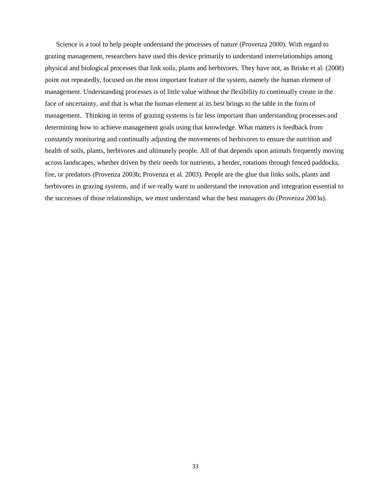Science is a tool to help people understand the processes of nature (Provenza 2000). With regard to grazing management, researchers have used this device primarily to understand interrelationships among physical and biological processes that link soils, plants and herbivores. They have not, as Briske et al. (2008) point out repeatedly, focused on the most important feature of the system, namely the human element of management. Understanding processes is of little value without the flexibility to continually create in the face of uncertainty, and that is what the human element at its best brings to the table in the form of management. Thinking in terms of grazing systems is far less important than understanding processes and determining how to achieve management goals using that knowledge. What matters is feedback from constantly monitoring and continually adjusting the movements of herbivores to ensure the nutrition and health of soils, plants, herbivores and ultimately people. All of that depends upon animals frequently moving across landscapes, whether driven by their needs for nutrients, a herder, rotations through fenced paddocks, fire, or predators (Provenza 2003b; Provenza et al. 2003). People are the glue that links soils, plants and herbivores in grazing systems, and if we really want to understand the innovation and integration essential to the successes of those relationships, we must understand what the best managers do (Provenza 2003a).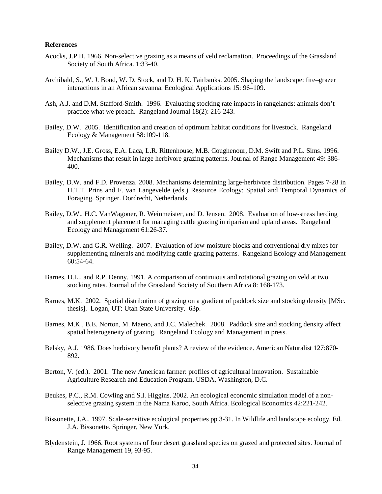### **References**

- Acocks, J.P.H. 1966. Non-selective grazing as a means of veld reclamation. Proceedings of the Grassland Society of South Africa. 1:33-40.
- Archibald, S., W. J. Bond, W. D. Stock, and D. H. K. Fairbanks. 2005. Shaping the landscape: fire–grazer interactions in an African savanna. Ecological Applications 15: 96–109.
- Ash, A.J. and D.M. Stafford-Smith. 1996. Evaluating stocking rate impacts in rangelands: animals don't practice what we preach. Rangeland Journal 18(2): 216-243.
- Bailey, D.W. 2005. Identification and creation of optimum habitat conditions for livestock. Rangeland Ecology & Management 58:109-118.
- Bailey D.W., J.E. Gross, E.A. Laca, L.R. Rittenhouse, M.B. Coughenour, D.M. Swift and P.L. Sims. 1996. Mechanisms that result in large herbivore grazing patterns. Journal of Range Management 49: 386- 400.
- Bailey, D.W. and F.D. Provenza. 2008. Mechanisms determining large-herbivore distribution. Pages 7-28 in H.T.T. Prins and F. van Langevelde (eds.) Resource Ecology: Spatial and Temporal Dynamics of Foraging. Springer. Dordrecht, Netherlands.
- Bailey, D.W., H.C. VanWagoner, R. Weinmeister, and D. Jensen. 2008. Evaluation of low-stress herding and supplement placement for managing cattle grazing in riparian and upland areas. Rangeland Ecology and Management 61:26-37.
- Bailey, D.W. and G.R. Welling. 2007. Evaluation of low-moisture blocks and conventional dry mixes for supplementing minerals and modifying cattle grazing patterns. Rangeland Ecology and Management 60:54-64.
- Barnes, D.L., and R.P. Denny. 1991. A comparison of continuous and rotational grazing on veld at two stocking rates. Journal of the Grassland Society of Southern Africa 8: 168-173.
- Barnes, M.K. 2002. Spatial distribution of grazing on a gradient of paddock size and stocking density [MSc. thesis]. Logan, UT: Utah State University. 63p.
- Barnes, M.K., B.E. Norton, M. Maeno, and J.C. Malechek. 2008. Paddock size and stocking density affect spatial heterogeneity of grazing. Rangeland Ecology and Management in press.
- Belsky, A.J. 1986. Does herbivory benefit plants? A review of the evidence. American Naturalist 127:870- 892.
- Berton, V. (ed.). 2001. The new American farmer: profiles of agricultural innovation. Sustainable Agriculture Research and Education Program, USDA, Washington, D.C.
- Beukes, P.C., R.M. Cowling and S.I. Higgins. 2002. An ecological economic simulation model of a nonselective grazing system in the Nama Karoo, South Africa. Ecological Economics 42:221-242.
- Bissonette, J.A.. 1997. Scale-sensitive ecological properties pp 3-31. In Wildlife and landscape ecology. Ed. J.A. Bissonette. Springer, New York.
- Blydenstein, J. 1966. Root systems of four desert grassland species on grazed and protected sites. Journal of Range Management 19, 93-95.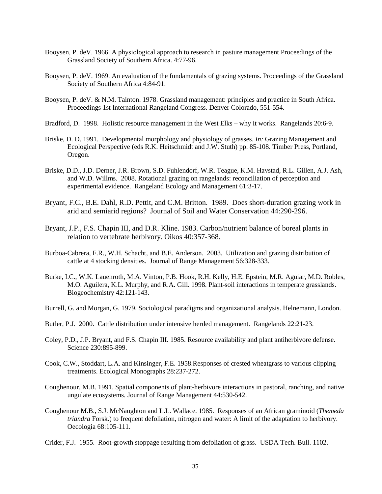- Booysen, P. deV. 1966. A physiological approach to research in pasture management Proceedings of the Grassland Society of Southern Africa. 4:77-96.
- Booysen, P. deV. 1969. An evaluation of the fundamentals of grazing systems. Proceedings of the Grassland Society of Southern Africa 4:84-91.
- Booysen, P. deV. & N.M. Tainton. 1978. Grassland management: principles and practice in South Africa. Proceedings 1st International Rangeland Congress. Denver Colorado, 551-554.
- Bradford, D. 1998. Holistic resource management in the West Elks why it works. Rangelands 20:6-9.
- Briske, D. D. 1991. Developmental morphology and physiology of grasses. *In:* Grazing Management and Ecological Perspective (eds R.K. Heitschmidt and J.W. Stuth) pp. 85-108. Timber Press, Portland, Oregon.
- Briske, D.D., J.D. Derner, J.R. Brown, S.D. Fuhlendorf, W.R. Teague, K.M. Havstad, R.L. Gillen, A.J. Ash, and W.D. Willms. 2008. Rotational grazing on rangelands: reconciliation of perception and experimental evidence. Rangeland Ecology and Management 61:3-17.
- Bryant, F.C., B.E. Dahl, R.D. Pettit, and C.M. Britton. 1989. Does short-duration grazing work in arid and semiarid regions? Journal of Soil and Water Conservation 44:290-296.
- Bryant, J.P., F.S. Chapin III, and D.R. Kline. 1983. Carbon/nutrient balance of boreal plants in relation to vertebrate herbivory. Oikos 40:357-368.
- Burboa-Cabrera, F.R., W.H. Schacht, and B.E. Anderson. 2003. Utilization and grazing distribution of cattle at 4 stocking densities. Journal of Range Management 56:328-333.
- Burke, I.C., W.K. Lauenroth, M.A. Vinton, P.B. Hook, R.H. Kelly, H.E. Epstein, M.R. Aguiar, M.D. Robles, M.O. Aguilera, K.L. Murphy, and R.A. Gill. 1998. Plant-soil interactions in temperate grasslands. Biogeochemistry 42:121-143.
- Burrell, G. and Morgan, G. 1979. Sociological paradigms and organizational analysis. Helnemann, London.
- Butler, P.J. 2000. Cattle distribution under intensive herded management. Rangelands 22:21-23.
- Coley, P.D., J.P. Bryant, and F.S. Chapin III. 1985. Resource availability and plant antiherbivore defense. Science 230:895-899.
- Cook, C.W., Stoddart, L.A. and Kinsinger, F.E. 1958.Responses of crested wheatgrass to various clipping treatments. Ecological Monographs 28:237-272.
- Coughenour, M.B. 1991. Spatial components of plant-herbivore interactions in pastoral, ranching, and native ungulate ecosystems*.* Journal of Range Management 44:530-542.
- Coughenour M.B., S.J. McNaughton and L.L. Wallace. 1985. Responses of an African graminoid (*Themeda triandra* Forsk.) to frequent defoliation, nitrogen and water: A limit of the adaptation to herbivory. Oecologia 68:105-111.
- Crider, F.J. 1955. Root-growth stoppage resulting from defoliation of grass. USDA Tech. Bull. 1102.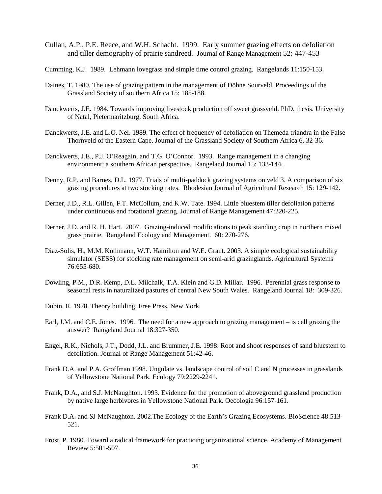- Cullan, A.P., P.E. Reece, and W.H. Schacht. 1999. Early summer grazing effects on defoliation and tiller demography of prairie sandreed. Journal of Range Management 52: 447-453
- Cumming, K.J. 1989.Lehmann lovegrass and simple time control grazing. Rangelands 11:150-153.
- Daines, T. 1980. The use of grazing pattern in the management of Döhne Sourveld. Proceedings of the Grassland Society of southern Africa 15: 185-188.
- Danckwerts, J.E. 1984. Towards improving livestock production off sweet grassveld. PhD. thesis. University of Natal, Pietermaritzburg, South Africa.
- Danckwerts, J.E. and L.O. Nel. 1989. The effect of frequency of defoliation on Themeda triandra in the False Thornveld of the Eastern Cape. Journal of the Grassland Society of Southern Africa 6, 32-36.
- Danckwerts, J.E., P.J. O'Reagain, and T.G. O'Connor. 1993. Range management in a changing environment: a southern African perspective. Rangeland Journal 15: 133-144.
- Denny, R.P. and Barnes, D.L. 1977. Trials of multi-paddock grazing systems on veld 3. A comparison of six grazing procedures at two stocking rates. Rhodesian Journal of Agricultural Research 15: 129-142.
- Derner, J.D., R.L. Gillen, F.T. McCollum, and K.W. Tate. 1994. Little bluestem tiller defoliation patterns under continuous and rotational grazing. Journal of Range Management 47:220-225.
- Derner, J.D. and R. H. Hart. 2007. Grazing-induced modifications to peak standing crop in northern mixed grass prairie. Rangeland Ecology and Management. 60: 270-276.
- Diaz-Solis, H., M.M. Kothmann, W.T. Hamilton and W.E. Grant. 2003. A simple ecological sustainability simulator (SESS) for stocking rate management on semi-arid grazinglands. Agricultural Systems 76:655-680.
- Dowling, P.M., D.R. Kemp, D.L. Milchalk, T.A. Klein and G.D. Millar. 1996. Perennial grass response to seasonal rests in naturalized pastures of central New South Wales. Rangeland Journal 18: 309-326.
- Dubin, R. 1978. Theory building. Free Press, New York.
- Earl, J.M. and C.E. Jones. 1996. The need for a new approach to grazing management is cell grazing the answer? Rangeland Journal 18:327-350.
- Engel, R.K., Nichols, J.T., Dodd, J.L. and Brummer, J.E. 1998. Root and shoot responses of sand bluestem to defoliation. Journal of Range Management 51:42-46.
- Frank D.A. and P.A. Groffman 1998. Ungulate vs. landscape control of soil C and N processes in grasslands of Yellowstone National Park. Ecology 79:2229-2241.
- Frank, D.A., and S.J. McNaughton. 1993. Evidence for the promotion of aboveground grassland production by native large herbivores in Yellowstone National Park. Oecologia 96:157-161.
- Frank D.A. and SJ McNaughton. 2002.The Ecology of the Earth's Grazing Ecosystems. BioScience 48:513- 521.
- Frost, P. 1980. Toward a radical framework for practicing organizational science. Academy of Management Review 5:501-507.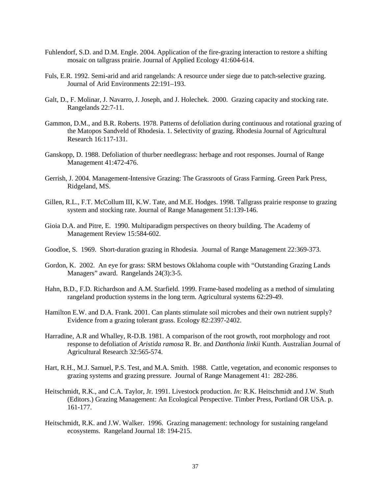- Fuhlendorf, S.D. and D.M. Engle. 2004. Application of the fire-grazing interaction to restore a shifting mosaic on tallgrass prairie. Journal of Applied Ecology 41:604-614.
- Fuls, E.R. 1992. Semi-arid and arid rangelands: A resource under siege due to patch-selective grazing. Journal of Arid Environments 22:191–193.
- Galt, D., F. Molinar, J. Navarro, J. Joseph, and J. Holechek. 2000. Grazing capacity and stocking rate. Rangelands 22:7-11.
- Gammon, D.M., and B.R. Roberts. 1978. Patterns of defoliation during continuous and rotational grazing of the Matopos Sandveld of Rhodesia. 1. Selectivity of grazing. Rhodesia Journal of Agricultural Research 16:117-131.
- Ganskopp, D. 1988. Defoliation of thurber needlegrass: herbage and root responses. Journal of Range Management 41:472-476.
- Gerrish, J. 2004. Management-Intensive Grazing: The Grassroots of Grass Farming. Green Park Press, Ridgeland, MS.
- Gillen, R.L., F.T. McCollum III, K.W. Tate, and M.E. Hodges. 1998. Tallgrass prairie response to grazing system and stocking rate. Journal of Range Management 51:139-146.
- Gioia D.A. and Pitre, E. 1990. Multiparadigm perspectives on theory building. The Academy of Management Review 15:584-602.
- Goodloe, S. 1969.Short-duration grazing in Rhodesia. Journal of Range Management 22:369-373.
- Gordon, K. 2002. An eye for grass: SRM bestows Oklahoma couple with "Outstanding Grazing Lands Managers" award. Rangelands 24(3):3-5.
- Hahn, B.D., F.D. Richardson and A.M. Starfield. 1999. Frame-based modeling as a method of simulating rangeland production systems in the long term. Agricultural systems 62:29-49.
- Hamilton E.W. and D.A. Frank. 2001. Can plants stimulate soil microbes and their own nutrient supply? Evidence from a grazing tolerant grass. Ecology 82:2397-2402.
- Harradine, A.R and Whalley, R-D.B. 1981. A comparison of the root growth, root morphology and root response to defoliation of *Aristida ramosa* R. Br. and *Danthonia linkii* Kunth. Australian Journal of Agricultural Research 32:565-574.
- Hart, R.H., M.J. Samuel, P.S. Test, and M.A. Smith. 1988. Cattle, vegetation, and economic responses to grazing systems and grazing pressure. Journal of Range Management 41: 282-286.
- Heitschmidt, R.K., and C.A. Taylor, Jr. 1991. Livestock production. *In:* R.K. Heitschmidt and J.W. Stuth (Editors.) Grazing Management: An Ecological Perspective. Timber Press, Portland OR USA. p. 161-177.
- Heitschmidt, R.K. and J.W. Walker. 1996. Grazing management: technology for sustaining rangeland ecosystems. Rangeland Journal 18: 194-215.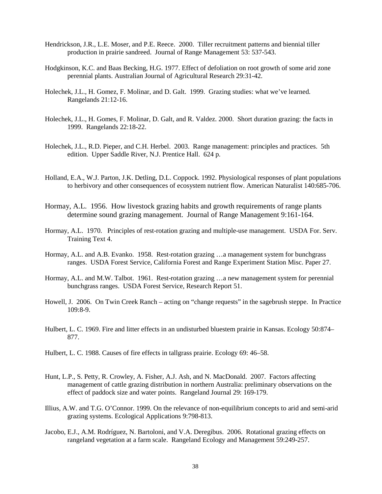- Hendrickson, J.R., L.E. Moser, and P.E. Reece. 2000. Tiller recruitment patterns and biennial tiller production in prairie sandreed. Journal of Range Management 53: 537-543.
- Hodgkinson, K.C. and Baas Becking, H.G. 1977. Effect of defoliation on root growth of some arid zone perennial plants. Australian Journal of Agricultural Research 29:31-42.
- Holechek, J.L., H. Gomez, F. Molinar, and D. Galt. 1999. Grazing studies: what we've learned. Rangelands 21:12-16.
- Holechek, J.L., H. Gomes, F. Molinar, D. Galt, and R. Valdez. 2000. Short duration grazing: the facts in 1999. Rangelands 22:18-22.
- Holechek, J.L., R.D. Pieper, and C.H. Herbel. 2003. Range management: principles and practices. 5th edition. Upper Saddle River, N.J. Prentice Hall. 624 p.
- Holland, E.A., W.J. Parton, J.K. Detling, D.L. Coppock. 1992. Physiological responses of plant populations to herbivory and other consequences of ecosystem nutrient flow. American Naturalist 140:685-706.
- Hormay, A.L. 1956. How livestock grazing habits and growth requirements of range plants determine sound grazing management. Journal of Range Management 9:161-164.
- Hormay, A.L. 1970. Principles of rest-rotation grazing and multiple-use management. USDA For. Serv. Training Text 4.
- Hormay, A.L. and A.B. Evanko. 1958. Rest-rotation grazing …a management system for bunchgrass ranges. USDA Forest Service, California Forest and Range Experiment Station Misc. Paper 27.
- Hormay, A.L. and M.W. Talbot. 1961. Rest-rotation grazing …a new management system for perennial bunchgrass ranges. USDA Forest Service, Research Report 51.
- Howell, J. 2006. On Twin Creek Ranch acting on "change requests" in the sagebrush steppe. In Practice 109:8-9.
- Hulbert, L. C. 1969. Fire and litter effects in an undisturbed bluestem prairie in Kansas. Ecology 50:874– 877.
- Hulbert, L. C. 1988. Causes of fire effects in tallgrass prairie. Ecology 69: 46–58.
- Hunt, L.P., S. Petty, R. Crowley, A. Fisher, A.J. Ash, and N. MacDonald. 2007. Factors affecting management of cattle grazing distribution in northern Australia: preliminary observations on the effect of paddock size and water points. Rangeland Journal 29: 169-179.
- Illius, A.W. and T.G. O'Connor. 1999. On the relevance of non-equilibrium concepts to arid and semi-arid grazing systems. Ecological Applications 9:798-813.
- Jacobo, E.J., A.M. Rodríguez, N. Bartoloni, and V.A. Deregibus. 2006. Rotational grazing effects on rangeland vegetation at a farm scale. Rangeland Ecology and Management 59:249-257.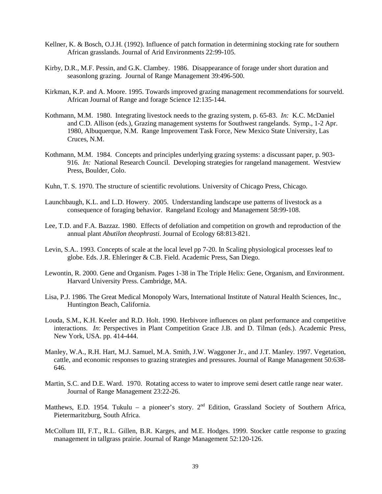- Kellner, K. & Bosch, O.J.H. (1992). Influence of patch formation in determining stocking rate for southern African grasslands. Journal of Arid Environments 22:99-105.
- Kirby, D.R., M.F. Pessin, and G.K. Clambey. 1986. Disappearance of forage under short duration and seasonlong grazing. Journal of Range Management 39:496-500.
- Kirkman, K.P. and A. Moore. 1995. Towards improved grazing management recommendations for sourveld. African Journal of Range and forage Science 12:135-144.
- Kothmann, M.M. 1980. Integrating livestock needs to the grazing system, p. 65-83. *In:* K.C. McDaniel and C.D. Allison (eds.), Grazing management systems for Southwest rangelands. Symp., 1-2 Apr. 1980, Albuquerque, N.M. Range Improvement Task Force, New Mexico State University, Las Cruces, N.M.
- Kothmann, M.M. 1984. Concepts and principles underlying grazing systems: a discussant paper, p. 903- 916. *In:* National Research Council. Developing strategies for rangeland management. Westview Press, Boulder, Colo.
- Kuhn, T. S. 1970. The structure of scientific revolutions. University of Chicago Press, Chicago.
- Launchbaugh, K.L. and L.D. Howery. 2005. Understanding landscape use patterns of livestock as a consequence of foraging behavior. Rangeland Ecology and Management 58:99-108.
- Lee, T.D. and F.A. Bazzaz. 1980. Effects of defoliation and competition on growth and reproduction of the annual plant *Abutilon theophrasti.* Journal of Ecology 68:813-821.
- Levin, S.A.. 1993. Concepts of scale at the local level pp 7-20. In Scaling physiological processes leaf to globe. Eds. J.R. Ehleringer & C.B. Field. Academic Press, San Diego.
- Lewontin, R. 2000. Gene and Organism. Pages 1-38 in The Triple Helix: Gene, Organism, and Environment. Harvard University Press. Cambridge, MA.
- Lisa, P.J. 1986. The Great Medical Monopoly Wars, International Institute of Natural Health Sciences, Inc., Huntington Beach, California.
- Louda, S.M., K.H. Keeler and R.D. Holt. 1990. Herbivore influences on plant performance and competitive interactions. *In*: Perspectives in Plant Competition Grace J.B. and D. Tilman (eds.). Academic Press, New York, USA. pp. 414-444.
- Manley, W.A., R.H. Hart, M.J. Samuel, M.A. Smith, J.W. Waggoner Jr., and J.T. Manley. 1997. Vegetation, cattle, and economic responses to grazing strategies and pressures. Journal of Range Management 50:638- 646.
- Martin, S.C. and D.E. Ward. 1970. Rotating access to water to improve semi desert cattle range near water. Journal of Range Management 23:22-26.
- Matthews, E.D. 1954. Tukulu a pioneer's story.  $2<sup>nd</sup>$  Edition, Grassland Society of Southern Africa, Pietermaritzburg, South Africa.
- McCollum III, F.T., R.L. Gillen, B.R. Karges, and M.E. Hodges. 1999. Stocker cattle response to grazing management in tallgrass prairie. Journal of Range Management 52:120-126.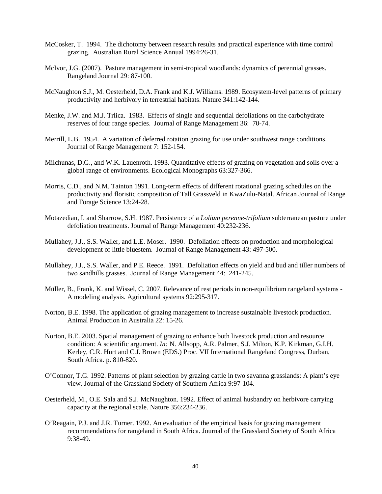- McCosker, T. 1994. The dichotomy between research results and practical experience with time control grazing. Australian Rural Science Annual 1994:26-31.
- McIvor, J.G. (2007). Pasture management in semi-tropical woodlands: dynamics of perennial grasses. Rangeland Journal 29: 87-100.
- McNaughton S.J., M. Oesterheld, D.A. Frank and K.J. Williams. 1989. Ecosystem-level patterns of primary productivity and herbivory in terrestrial habitats. Nature 341:142-144.
- Menke, J.W. and M.J. Trlica. 1983. Effects of single and sequential defoliations on the carbohydrate reserves of four range species. Journal of Range Management 36: 70-74.
- Merrill, L.B. 1954. A variation of deferred rotation grazing for use under southwest range conditions. Journal of Range Management 7: 152-154.
- Milchunas, D.G., and W.K. Lauenroth. 1993. Quantitative effects of grazing on vegetation and soils over a global range of environments. Ecological Monographs 63:327-366.
- Morris, C.D., and N.M. Tainton 1991. Long-term effects of different rotational grazing schedules on the productivity and floristic composition of Tall Grassveld in KwaZulu-Natal. African Journal of Range and Forage Science 13:24-28.
- Motazedian, I. and Sharrow, S.H. 1987. Persistence of a *Lolium perenne-trifolium* subterranean pasture under defoliation treatments. Journal of Range Management 40:232-236.
- Mullahey, J.J., S.S. Waller, and L.E. Moser. 1990. Defoliation effects on production and morphological development of little bluestem. Journal of Range Management 43: 497-500.
- Mullahey, J.J., S.S. Waller, and P.E. Reece. 1991. Defoliation effects on yield and bud and tiller numbers of two sandhills grasses. Journal of Range Management 44: 241-245.
- Müller, B., Frank, K. and Wissel, C. 2007. Relevance of rest periods in non-equilibrium rangeland systems A modeling analysis. Agricultural systems 92:295-317.
- Norton, B.E. 1998. The application of grazing management to increase sustainable livestock production*.*  Animal Production in Australia 22: 15-26.
- Norton, B.E. 2003. Spatial management of grazing to enhance both livestock production and resource condition: A scientific argument. *In:* N. Allsopp, A.R. Palmer, S.J. Milton, K.P. Kirkman, G.I.H. Kerley, C.R. Hurt and C.J. Brown (EDS.) Proc. VII International Rangeland Congress, Durban, South Africa. p. 810-820.
- O'Connor, T.G. 1992. Patterns of plant selection by grazing cattle in two savanna grasslands: A plant's eye view. Journal of the Grassland Society of Southern Africa 9:97-104.
- Oesterheld, M., O.E. Sala and S.J. McNaughton. 1992. Effect of animal husbandry on herbivore carrying capacity at the regional scale. Nature 356:234-236.
- O'Reagain, P.J. and J.R. Turner. 1992. An evaluation of the empirical basis for grazing management recommendations for rangeland in South Africa. Journal of the Grassland Society of South Africa 9:38-49.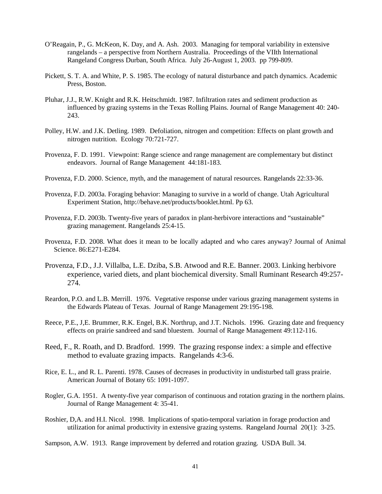- O'Reagain, P., G. McKeon, K. Day, and A. Ash. 2003. Managing for temporal variability in extensive rangelands – a perspective from Northern Australia. Proceedings of the VIIth International Rangeland Congress Durban, South Africa. July 26-August 1, 2003. pp 799-809.
- Pickett, S. T. A. and White, P. S. 1985. The ecology of natural disturbance and patch dynamics. Academic Press, Boston.
- Pluhar, J.J., R.W. Knight and R.K. Heitschmidt. 1987. Infiltration rates and sediment production as influenced by grazing systems in the Texas Rolling Plains. Journal of Range Management 40: 240- 243.
- Polley, H.W. and J.K. Detling. 1989. Defoliation, nitrogen and competition: Effects on plant growth and nitrogen nutrition. Ecology 70:721-727.
- Provenza, F. D. 1991. Viewpoint: Range science and range management are complementary but distinct endeavors. Journal of Range Management 44:181-183.
- Provenza, F.D. 2000. Science, myth, and the management of natural resources. Rangelands 22:33-36.
- Provenza, F.D. 2003a. Foraging behavior: Managing to survive in a world of change. Utah Agricultural Experiment Station, http://behave.net/products/booklet.html. Pp 63.
- Provenza, F.D. 2003b. Twenty-five years of paradox in plant-herbivore interactions and "sustainable" grazing management. Rangelands 25:4-15.
- Provenza, F.D. 2008. What does it mean to be locally adapted and who cares anyway? Journal of Animal Science. 86:E271-E284.
- Provenza, F.D., J.J. Villalba, L.E. Dziba, S.B. Atwood and R.E. Banner. 2003. Linking herbivore experience, varied diets, and plant biochemical diversity. Small Ruminant Research 49:257- 274.
- Reardon, P.O. and L.B. Merrill. 1976. Vegetative response under various grazing management systems in the Edwards Plateau of Texas. Journal of Range Management 29:195-198.
- Reece, P.E., J,E. Brummer, R.K. Engel, B.K. Northrup, and J.T. Nichols. 1996. Grazing date and frequency effects on prairie sandreed and sand bluestem. Journal of Range Management 49:112-116.
- Reed, F., R. Roath, and D. Bradford. 1999. The grazing response index: a simple and effective method to evaluate grazing impacts. Rangelands 4:3-6.
- Rice, E. L., and R. L. Parenti. 1978. Causes of decreases in productivity in undisturbed tall grass prairie. American Journal of Botany 65: 1091-1097.
- Rogler, G.A. 1951. A twenty-five year comparison of continuous and rotation grazing in the northern plains. Journal of Range Management 4: 35-41.
- Roshier, D,A. and H.I. Nicol. 1998. Implications of spatio-temporal variation in forage production and utilization for animal productivity in extensive grazing systems. Rangeland Journal 20(1): 3-25.

Sampson, A.W. 1913. Range improvement by deferred and rotation grazing. USDA Bull. 34.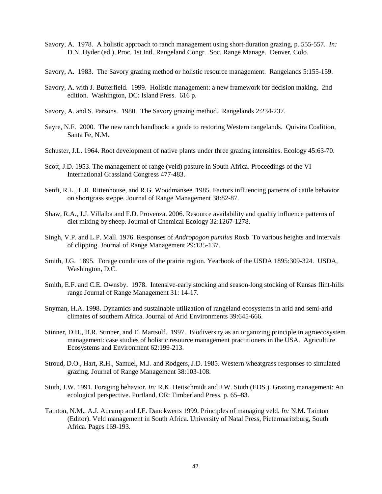- Savory, A. 1978. A holistic approach to ranch management using short-duration grazing, p. 555-557. *In:* D.N. Hyder (ed.), Proc. 1st Intl. Rangeland Congr. Soc. Range Manage. Denver, Colo.
- Savory, A. 1983. The Savory grazing method or holistic resource management. Rangelands 5:155-159.
- Savory, A. with J. Butterfield. 1999. Holistic management: a new framework for decision making. 2nd edition. Washington, DC: Island Press. 616 p.
- Savory, A. and S. Parsons. 1980. The Savory grazing method. Rangelands 2:234-237.
- Sayre, N.F. 2000. The new ranch handbook: a guide to restoring Western rangelands. Quivira Coalition, Santa Fe, N.M.
- Schuster, J.L. 1964*.* Root development of native plants under three grazing intensities. Ecology 45:63-70.
- Scott, J.D. 1953. The management of range (veld) pasture in South Africa. Proceedings of the VI International Grassland Congress 477-483.
- Senft, R.L., L.R. Rittenhouse, and R.G. Woodmansee. 1985. Factors influencing patterns of cattle behavior on shortgrass steppe. Journal of Range Management 38:82-87.
- Shaw, R.A., J.J. Villalba and F.D. Provenza. 2006. Resource availability and quality influence patterns of diet mixing by sheep. Journal of Chemical Ecology 32:1267-1278.
- Singh, V.P. and L.P. Mall. 1976. Responses of *Andropogon pumilus* Roxb. To various heights and intervals of clipping. Journal of Range Management 29:135-137.
- Smith, J.G. 1895. Forage conditions of the prairie region. Yearbook of the USDA 1895:309-324. USDA, Washington, D.C.
- Smith, E.F. and C.E. Ownsby. 1978. Intensive-early stocking and season-long stocking of Kansas flint-hills range Journal of Range Management 31: 14-17.
- Snyman, H.A. 1998. Dynamics and sustainable utilization of rangeland ecosystems in arid and semi-arid climates of southern Africa. Journal of Arid Environments 39:645-666.
- Stinner, D.H., B.R. Stinner, and E. Martsolf. 1997. Biodiversity as an organizing principle in agroecosystem management: case studies of holistic resource management practitioners in the USA. Agriculture Ecosystems and Environment 62:199-213.
- Stroud, D.O., Hart, R.H., Samuel, M.J. and Rodgers, J.D. 1985. Western wheatgrass responses to simulated grazing. Journal of Range Management 38:103*-*108.
- Stuth, J.W. 1991. Foraging behavior. *In:* R.K. Heitschmidt and J.W. Stuth (EDS.). Grazing management: An ecological perspective. Portland, OR: Timberland Press. p. 65–83.
- Tainton, N.M., A.J. Aucamp and J.E. Danckwerts 1999. Principles of managing veld. *In:* N.M. Tainton (Editor). Veld management in South Africa. University of Natal Press, Pietermaritzburg, South Africa. Pages 169-193.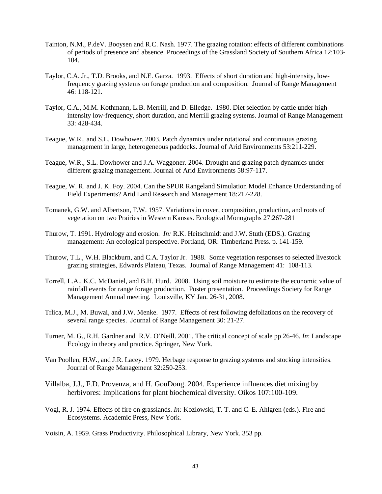- Tainton, N.M., P.deV. Booysen and R.C. Nash. 1977. The grazing rotation: effects of different combinations of periods of presence and absence. Proceedings of the Grassland Society of Southern Africa 12:103- 104.
- Taylor, C.A. Jr., T.D. Brooks, and N.E. Garza. 1993. Effects of short duration and high-intensity, lowfrequency grazing systems on forage production and composition. Journal of Range Management 46: 118-121.
- Taylor, C.A., M.M. Kothmann, L.B. Merrill, and D. Elledge. 1980. Diet selection by cattle under highintensity low-frequency, short duration, and Merrill grazing systems. Journal of Range Management 33: 428-434.
- Teague, W.R., and S.L. Dowhower. 2003. Patch dynamics under rotational and continuous grazing management in large, heterogeneous paddocks. Journal of Arid Environments 53:211-229.
- Teague, W.R., S.L. Dowhower and J.A. Waggoner. 2004. Drought and grazing patch dynamics under different grazing management. Journal of Arid Environments 58:97-117.
- Teague, W. R. and J. K. Foy. 2004. Can the SPUR Rangeland Simulation Model Enhance Understanding of Field Experiments? Arid Land Research and Management 18:217-228.
- Tomanek, G.W. and Albertson, F.W. 1957. Variations in cover, composition, production, and roots of vegetation on two Prairies in Western Kansas. Ecological Monographs 27:267-281
- Thurow, T. 1991. Hydrology and erosion. *In:* R.K. Heitschmidt and J.W. Stuth (EDS.). Grazing management: An ecological perspective. Portland, OR: Timberland Press. p. 141-159.
- Thurow, T.L., W.H. Blackburn, and C.A. Taylor Jr. 1988. Some vegetation responses to selected livestock grazing strategies, Edwards Plateau, Texas. Journal of Range Management 41: 108-113.
- Torrell, L.A., K.C. McDaniel, and B.H. Hurd. 2008. Using soil moisture to estimate the economic value of rainfall events for range forage production. Poster presentation. Proceedings Society for Range Management Annual meeting. Louisville, KY Jan. 26-31, 2008.
- Trlica, M.J., M. Buwai, and J.W. Menke. 1977. Effects of rest following defoliations on the recovery of several range species. Journal of Range Management 30: 21-27.
- Turner, M. G., R.H. Gardner and R.V. O'Neill. 2001. The critical concept of scale pp 26-46. *In*: Landscape Ecology in theory and practice. Springer, New York.
- Van Poollen, H.W., and J.R. Lacey. 1979. Herbage response to grazing systems and stocking intensities. Journal of Range Management 32:250-253.
- Villalba, J.J., F.D. Provenza, and H. GouDong. 2004. Experience influences diet mixing by herbivores: Implications for plant biochemical diversity. Oikos 107:100-109.
- Vogl, R. J. 1974. Effects of fire on grasslands. *In:* Kozlowski, T. T. and C. E. Ahlgren (eds.). Fire and Ecosystems. Academic Press, New York.
- Voisin, A. 1959. Grass Productivity. Philosophical Library, New York. 353 pp.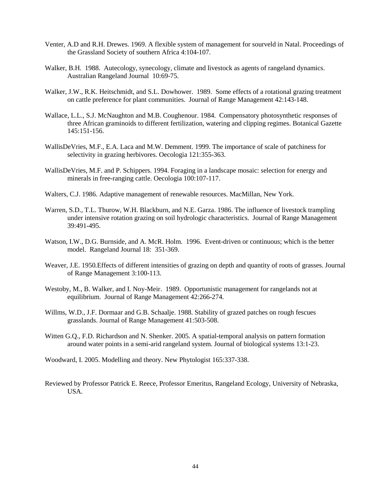- Venter, A.D and R.H. Drewes. 1969. A flexible system of management for sourveld in Natal. Proceedings of the Grassland Society of southern Africa 4:104-107.
- Walker, B.H. 1988. Autecology, synecology, climate and livestock as agents of rangeland dynamics. Australian Rangeland Journal 10:69-75.
- Walker, J.W., R.K. Heitschmidt, and S.L. Dowhower. 1989.Some effects of a rotational grazing treatment on cattle preference for plant communities. Journal of Range Management 42:143-148.
- Wallace, L.L., S.J. McNaughton and M.B. Coughenour. 1984. Compensatory photosynthetic responses of three African graminoids to different fertilization, watering and clipping regimes. Botanical Gazette 145:151-156.
- WallisDeVries, M.F., E.A. Laca and M.W. Demment. 1999. The importance of scale of patchiness for selectivity in grazing herbivores. Oecologia 121:355-363.
- WallisDeVries, M.F. and P. Schippers. 1994. Foraging in a landscape mosaic: selection for energy and minerals in free-ranging cattle. Oecologia 100:107-117.
- Walters, C.J. 1986. Adaptive management of renewable resources. MacMillan, New York.
- Warren, S.D., T.L. Thurow, W.H. Blackburn, and N.E. Garza. 1986. The influence of livestock trampling under intensive rotation grazing on soil hydrologic characteristics. Journal of Range Management 39:491-495.
- Watson, I.W., D.G. Burnside, and A. McR. Holm. 1996. Event-driven or continuous; which is the better model. Rangeland Journal 18: 351-369.
- Weaver, J.E. 1950*.*Effects of different intensities of grazing on depth and quantity of roots of grasses. Journal of Range Management 3:100-113.
- Westoby, M., B. Walker, and I. Noy-Meir. 1989. Opportunistic management for rangelands not at equilibrium. Journal of Range Management 42:266-274.
- Willms, W.D., J.F. Dormaar and G.B. Schaalje. 1988. Stability of grazed patches on rough fescues grasslands. Journal of Range Management 41:503-508.
- Witten G.Q., F.D. Richardson and N. Shenker. 2005. A spatial-temporal analysis on pattern formation around water points in a semi-arid rangeland system. Journal of biological systems 13:1-23.

Woodward, I. 2005. Modelling and theory. New Phytologist 165:337-338.

Reviewed by Professor Patrick E. Reece, Professor Emeritus, Rangeland Ecology, University of Nebraska, USA.